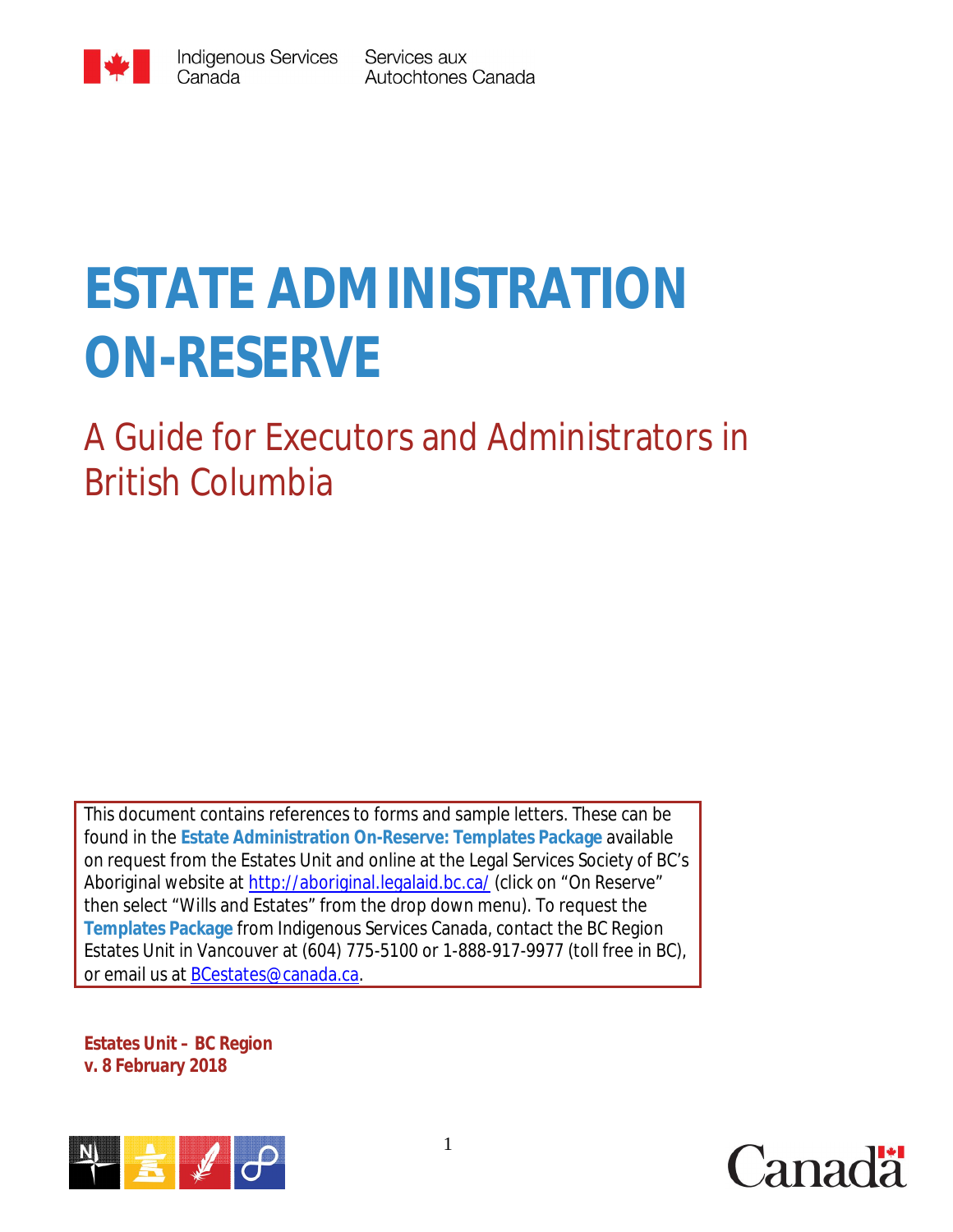

Services aux Autochtones Canada

# **ESTATE ADMINISTRATION ON-RESERVE**

## A Guide for Executors and Administrators in British Columbia

This document contains references to forms and sample letters. These can be found in the **Estate Administration On-Reserve: Templates Package** available on request from the Estates Unit and online at the Legal Services Society of BC's Aboriginal website at <http://aboriginal.legalaid.bc.ca/> (click on "On Reserve" then select "Wills and Estates" from the drop down menu). To request the **Templates Package** from Indigenous Services Canada, contact the BC Region Estates Unit in Vancouver at (604) 775-5100 or 1-888-917-9977 (toll free in BC), or email us at [BCestates@canada.ca.](mailto:BCestates@canada.ca.)

**Estates Unit – BC Region v. 8 February 2018**



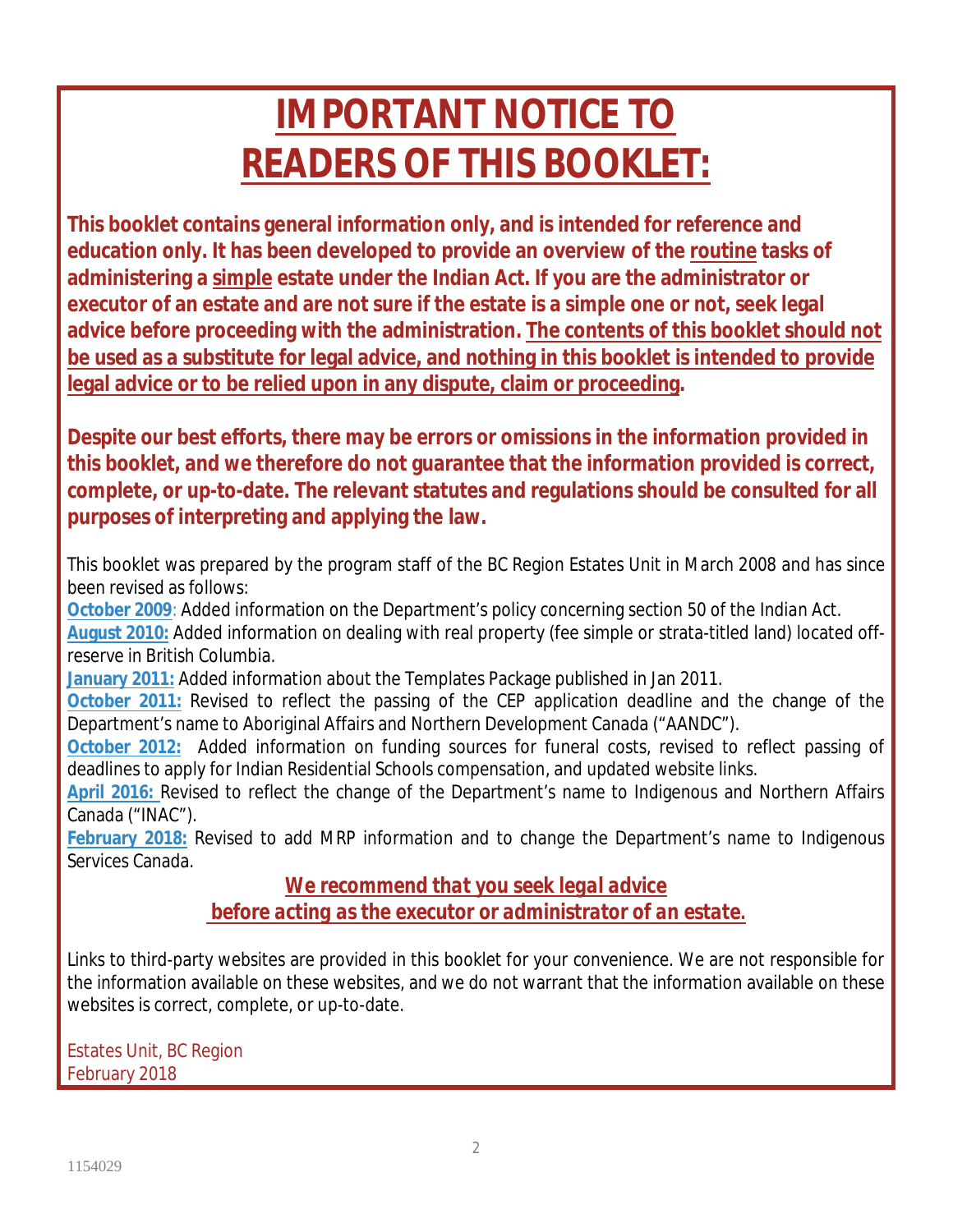## **IMPORTANT NOTICE TO READERS OF THIS BOOKLET:**

**This booklet contains general information only, and is intended for reference and education only. It has been developed to provide an overview of the routine tasks of administering a simple estate under the** *Indian Act***. If you are the administrator or executor of an estate and are not sure if the estate is a simple one or not, seek legal advice before proceeding with the administration. The contents of this booklet should not be used as a substitute for legal advice, and nothing in this booklet is intended to provide legal advice or to be relied upon in any dispute, claim or proceeding.**

**Despite our best efforts, there may be errors or omissions in the information provided in this booklet, and we therefore do not guarantee that the information provided is correct, complete, or up-to-date. The relevant statutes and regulations should be consulted for all purposes of interpreting and applying the law.**

This booklet was prepared by the program staff of the BC Region Estates Unit in March 2008 and has since been revised as follows:

**October 2009**: Added information on the Department's policy concerning section 50 of the *Indian Act*. **August 2010:** Added information on dealing with real property (fee simple or strata-titled land) located offreserve in British Columbia.

**January 2011:** Added information about the Templates Package published in Jan 2011.

**October 2011:** Revised to reflect the passing of the CEP application deadline and the change of the Department's name to Aboriginal Affairs and Northern Development Canada ("AANDC").

**October 2012:** Added information on funding sources for funeral costs, revised to reflect passing of deadlines to apply for Indian Residential Schools compensation, and updated website links.

**April 2016:** Revised to reflect the change of the Department's name to Indigenous and Northern Affairs Canada ("INAC").

**February 2018:** Revised to add MRP information and to change the Department's name to Indigenous Services Canada.

> *We recommend that you seek legal advice before acting as the executor or administrator of an estate.*

Links to third-party websites are provided in this booklet for your convenience. We are not responsible for the information available on these websites, and we do not warrant that the information available on these websites is correct, complete, or up-to-date.

Estates Unit, BC Region February 2018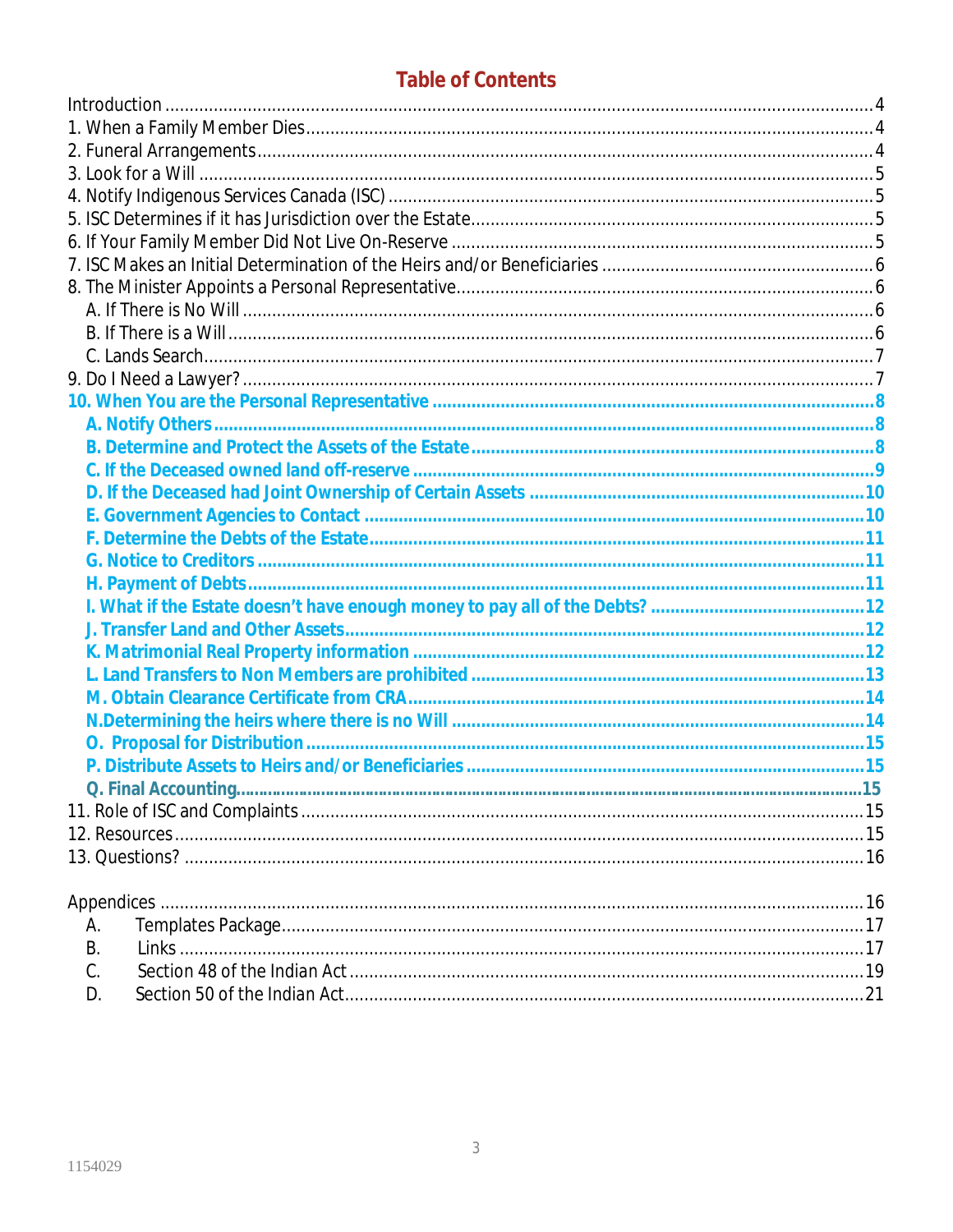#### **Table of Contents**

| <b>Q. Final Accounting</b> | 15 |
|----------------------------|----|
|                            |    |
|                            |    |
|                            |    |
|                            |    |
|                            |    |
| А.                         |    |
| <b>B.</b>                  |    |
| C.                         |    |
| D.                         |    |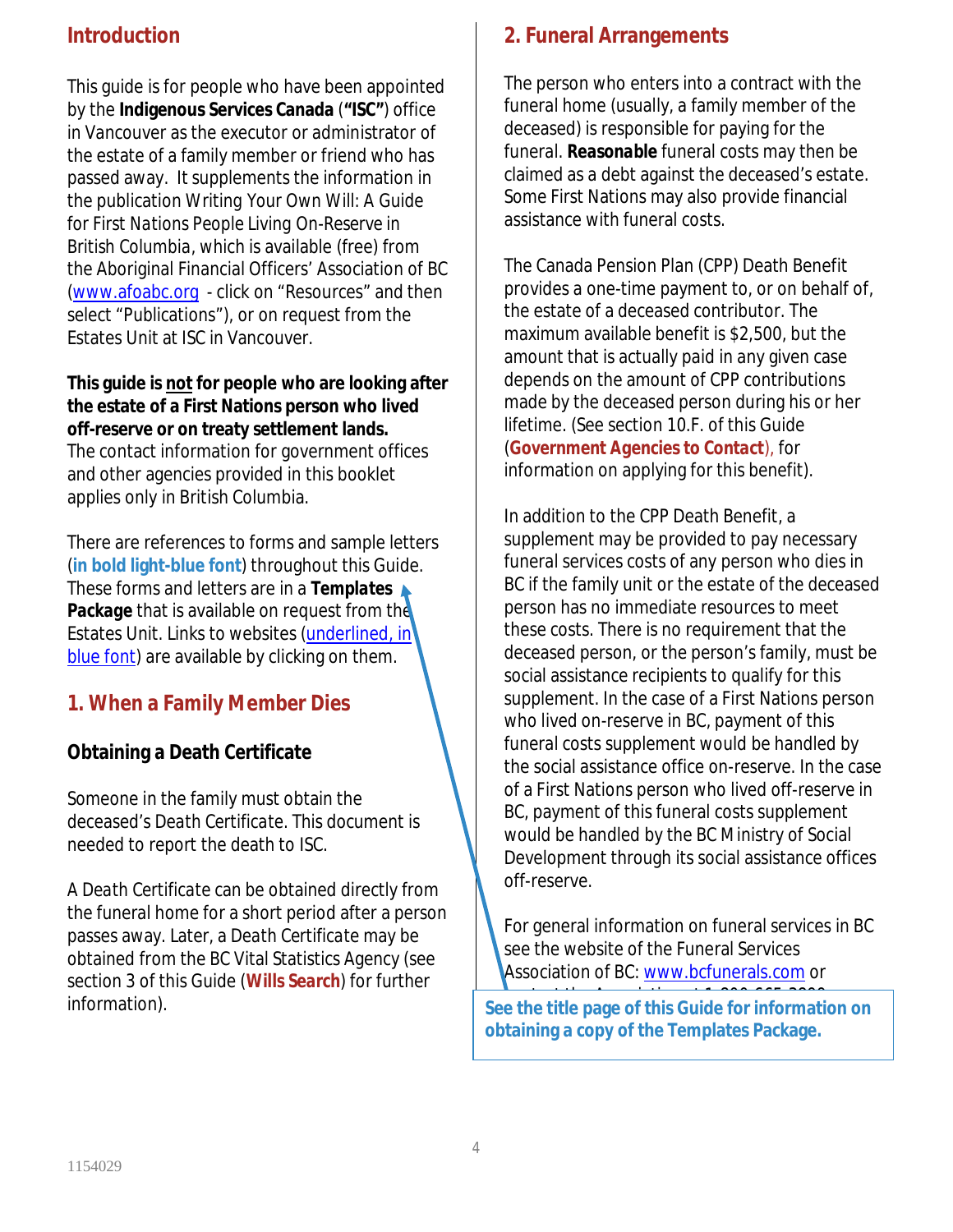#### **Introduction**

This guide is for people who have been appointed by the **Indigenous Services Canada** (**"ISC"**) office in Vancouver as the executor or administrator of the estate of a family member or friend who has passed away. It supplements the information in the publication *Writing Your Own Will: A Guide for First Nations People Living On-Reserve in British Columbia*, which is available (free) from the Aboriginal Financial Officers' Association of BC ([www.afoabc.org](http://www.afoabc.org) - click on "Resources" and then select "Publications"), or on request from the Estates Unit at ISC in Vancouver.

#### **This guide is not for people who are looking after the estate of a First Nations person who lived off-reserve or on treaty settlement lands.**

The contact information for government offices and other agencies provided in this booklet applies only in British Columbia.

There are references to forms and sample letters (**in bold light-blue font**) throughout this Guide. These forms and letters are in a *Templates*  **Package** that is available on request from the Estates Unit. Links to websites (underlined, in blue font) are available by clicking on them.

#### **1. When a Family Member Dies**

#### **Obtaining a Death Certificate**

Someone in the family must obtain the deceased's *Death Certificate*. This document is needed to report the death to ISC.

A *Death Certificate* can be obtained directly from the funeral home for a short period after a person passes away. Later, a *Death Certificate* may be obtained from the BC Vital Statistics Agency (see section 3 of this Guide (*Wills Search*) for further information).

#### **2. Funeral Arrangements**

The person who enters into a contract with the funeral home (usually, a family member of the deceased) is responsible for paying for the funeral. *Reasonable* funeral costs may then be claimed as a debt against the deceased's estate. Some First Nations may also provide financial assistance with funeral costs.

The Canada Pension Plan (CPP) Death Benefit provides a one-time payment to, or on behalf of, the estate of a deceased contributor. The maximum available benefit is \$2,500, but the amount that is actually paid in any given case depends on the amount of CPP contributions made by the deceased person during his or her lifetime. (See section 10.F. of this Guide (*Government Agencies to Contact)*, for information on applying for this benefit).

In addition to the CPP Death Benefit, a supplement may be provided to pay necessary funeral services costs of any person who dies in BC if the family unit or the estate of the deceased person has no immediate resources to meet these costs. There is no requirement that the deceased person, or the person's family, must be social assistance recipients to qualify for this supplement. In the case of a First Nations person who lived on-reserve in BC, payment of this funeral costs supplement would be handled by the social assistance office on-reserve. In the case of a First Nations person who lived off-reserve in BC, payment of this funeral costs supplement would be handled by the BC Ministry of Social Development through its social assistance offices off-reserve.

For general information on funeral services in BC see the website of the Funeral Services Association of BC: [www.bcfunerals.com](http://www.bcfunerals.com) or

**See the title page of this Guide for information on obtaining a copy of the Templates Package.**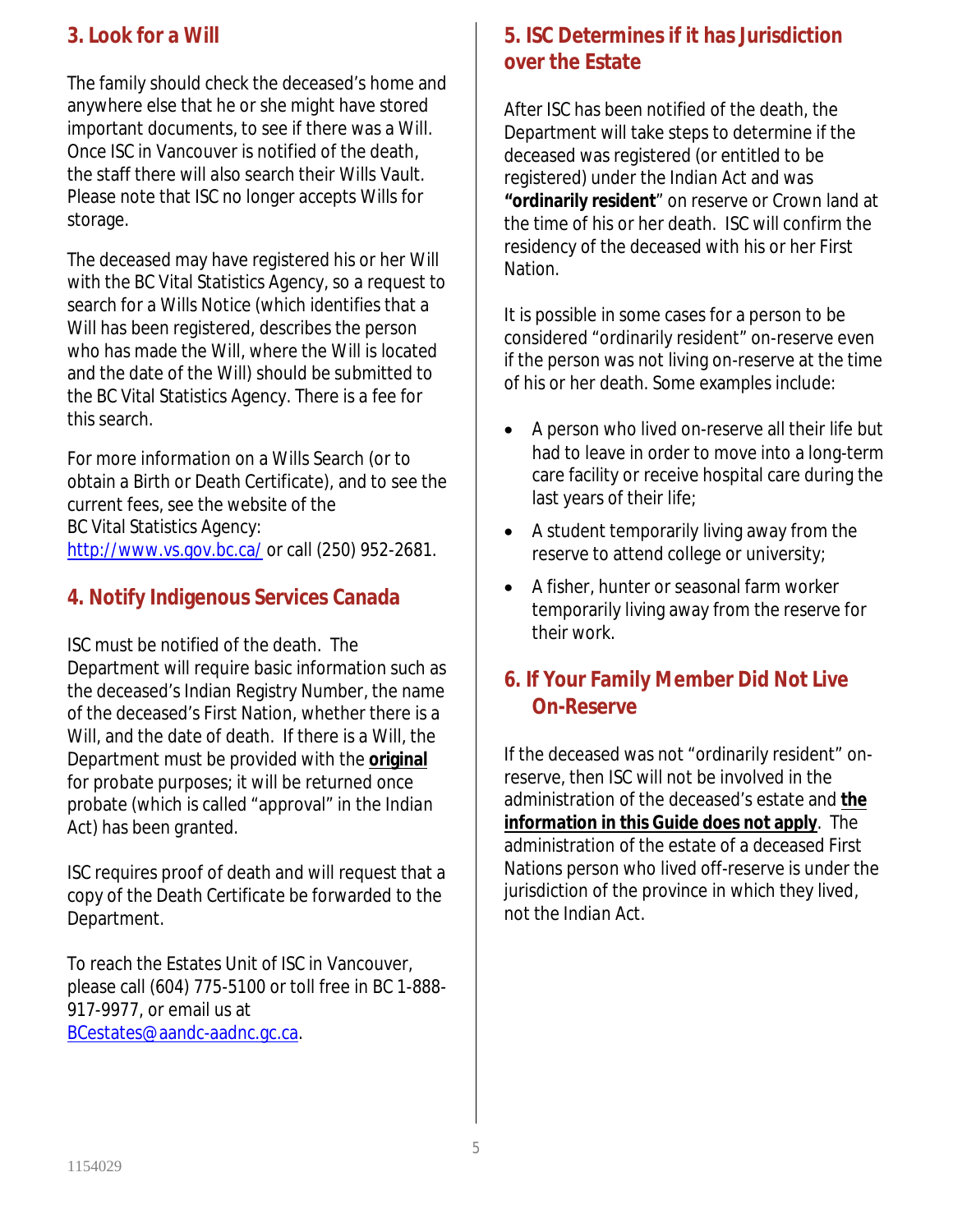#### **3. Look for a Will**

The family should check the deceased's home and anywhere else that he or she might have stored important documents, to see if there was a Will. Once ISC in Vancouver is notified of the death, the staff there will also search their Wills Vault. Please note that ISC no longer accepts Wills for storage.

The deceased may have registered his or her Will with the BC Vital Statistics Agency, so a request to search for a Wills Notice (which identifies that a Will has been registered, describes the person who has made the Will, where the Will is located and the date of the Will) should be submitted to the BC Vital Statistics Agency. There is a fee for this search.

For more information on a Wills Search (or to obtain a Birth or Death Certificate), and to see the current fees, see the website of the BC Vital Statistics Agency: <http://www.vs.gov.bc.ca/> or call (250) 952-2681.

#### **4. Notify Indigenous Services Canada**

ISC must be notified of the death. The Department will require basic information such as the deceased's Indian Registry Number, the name of the deceased's First Nation, whether there is a Will, and the date of death. If there is a Will, the Department must be provided with the **original** for probate purposes; it will be returned once probate (which is called "approval" in the *Indian Act*) has been granted.

ISC requires proof of death and will request that a copy of the *Death Certificate* be forwarded to the Department.

To reach the Estates Unit of ISC in Vancouver, please call (604) 775-5100 or toll free in BC 1-888- 917-9977, or email us at [BCestates@aandc-aadnc.gc.ca.](mailto:BCestates@aandc-aadnc.gc.ca.) 

#### **5. ISC Determines if it has Jurisdiction over the Estate**

After ISC has been notified of the death, the Department will take steps to determine if the deceased was registered (or entitled to be registered) under the *Indian Act* and was **"ordinarily resident**" on reserve or Crown land at the time of his or her death. ISC will confirm the residency of the deceased with his or her First Nation.

It is possible in some cases for a person to be considered "ordinarily resident" on-reserve even if the person was not living on-reserve at the time of his or her death. Some examples include:

- A person who lived on-reserve all their life but had to leave in order to move into a long-term care facility or receive hospital care during the last years of their life;
- A student temporarily living away from the reserve to attend college or university;
- A fisher, hunter or seasonal farm worker temporarily living away from the reserve for their work.

#### **6. If Your Family Member Did Not Live On-Reserve**

If the deceased was not "ordinarily resident" onreserve, then ISC will not be involved in the administration of the deceased's estate and **the information in this Guide does not apply**. The administration of the estate of a deceased First Nations person who lived off-reserve is under the jurisdiction of the province in which they lived, not the *Indian Act*.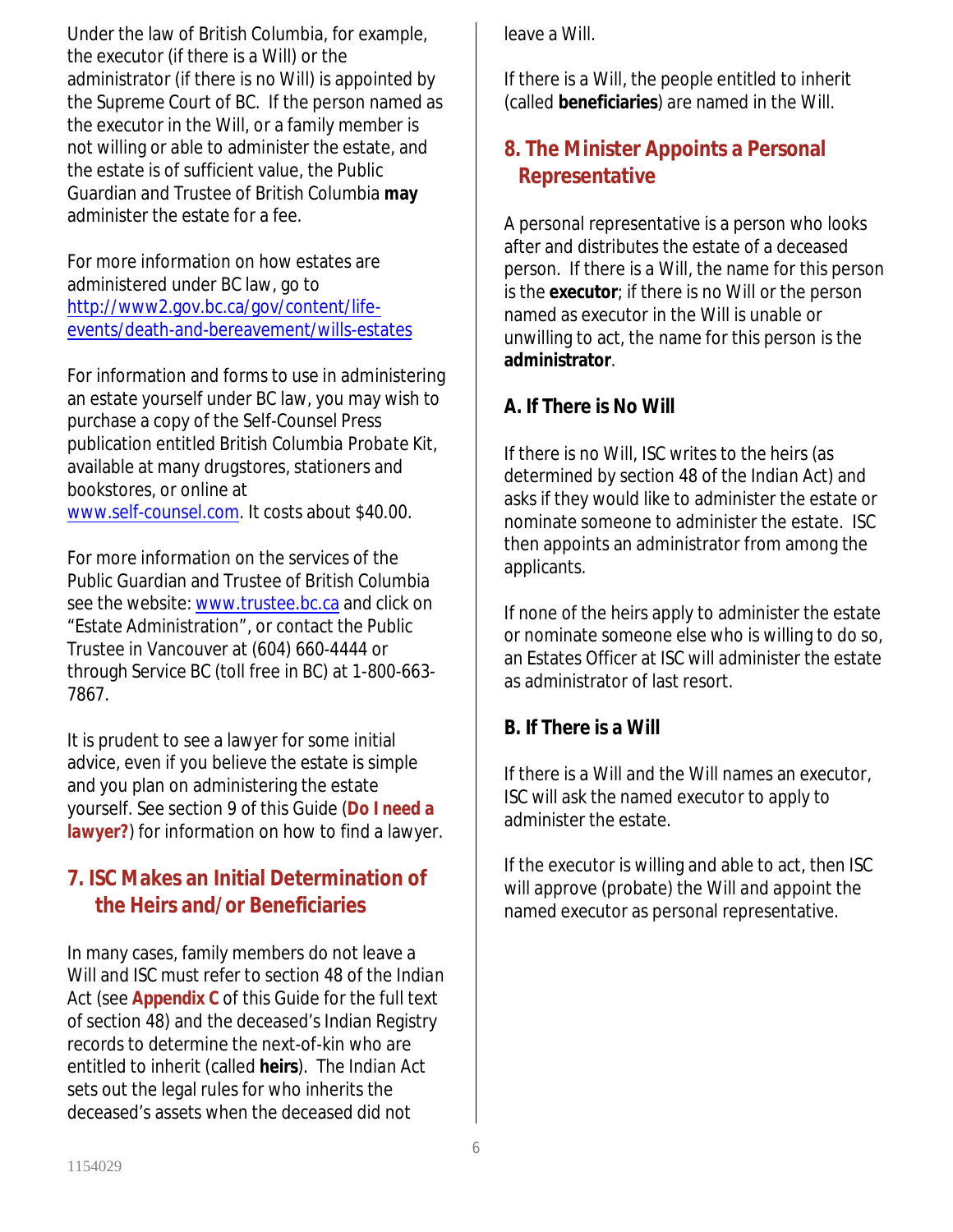Under the law of British Columbia, for example, the executor (if there is a Will) or the administrator (if there is no Will) is appointed by the Supreme Court of BC. If the person named as the executor in the Will, or a family member is not willing or able to administer the estate, and the estate is of sufficient value, the Public Guardian and Trustee of British Columbia **may** administer the estate for a fee.

For more information on how estates are administered under BC law, go to [http://www2.gov.bc.ca/gov/content/life](http://www2.gov.bc.ca/gov/content/life-)events/death-and-bereavement/wills-estates

For information and forms to use in administering an estate yourself under BC law, you may wish to purchase a copy of the Self-Counsel Press publication entitled *British Columbia Probate Kit*, available at many drugstores, stationers and bookstores, or online at [www.self-counsel.com.](http://www.self-counsel.com.) It costs about \$40.00.

For more information on the services of the Public Guardian and Trustee of British Columbia see the website: [www.trustee.bc.ca](http://www.trustee.bc.ca) and click on "Estate Administration", or contact the Public Trustee in Vancouver at (604) 660-4444 or through Service BC (toll free in BC) at 1-800-663- 7867.

It is prudent to see a lawyer for some initial advice, even if you believe the estate is simple and you plan on administering the estate yourself. See section 9 of this Guide (*Do I need a lawyer?*) for information on how to find a lawyer.

#### **7. ISC Makes an Initial Determination of the Heirs and/or Beneficiaries**

In many cases, family members do not leave a Will and ISC must refer to section 48 of the *Indian Act* (see *Appendix C* of this Guide for the full text of section 48) and the deceased's Indian Registry records to determine the next-of-kin who are entitled to inherit (called **heirs**). The *Indian Act* sets out the legal rules for who inherits the deceased's assets when the deceased did not

leave a Will.

If there is a Will, the people entitled to inherit (called **beneficiaries**) are named in the Will.

#### **8. The Minister Appoints a Personal Representative**

A personal representative is a person who looks after and distributes the estate of a deceased person. If there is a Will, the name for this person is the **executor**; if there is no Will or the person named as executor in the Will is unable or unwilling to act, the name for this person is the **administrator**.

#### **A. If There is No Will**

If there is no Will, ISC writes to the heirs (as determined by section 48 of the *Indian Act)* and asks if they would like to administer the estate or nominate someone to administer the estate. ISC then appoints an administrator from among the applicants.

If none of the heirs apply to administer the estate or nominate someone else who is willing to do so, an Estates Officer at ISC will administer the estate as administrator of last resort.

#### **B. If There is a Will**

If there is a Will and the Will names an executor, ISC will ask the named executor to apply to administer the estate.

If the executor is willing and able to act, then ISC will approve (probate) the Will and appoint the named executor as personal representative.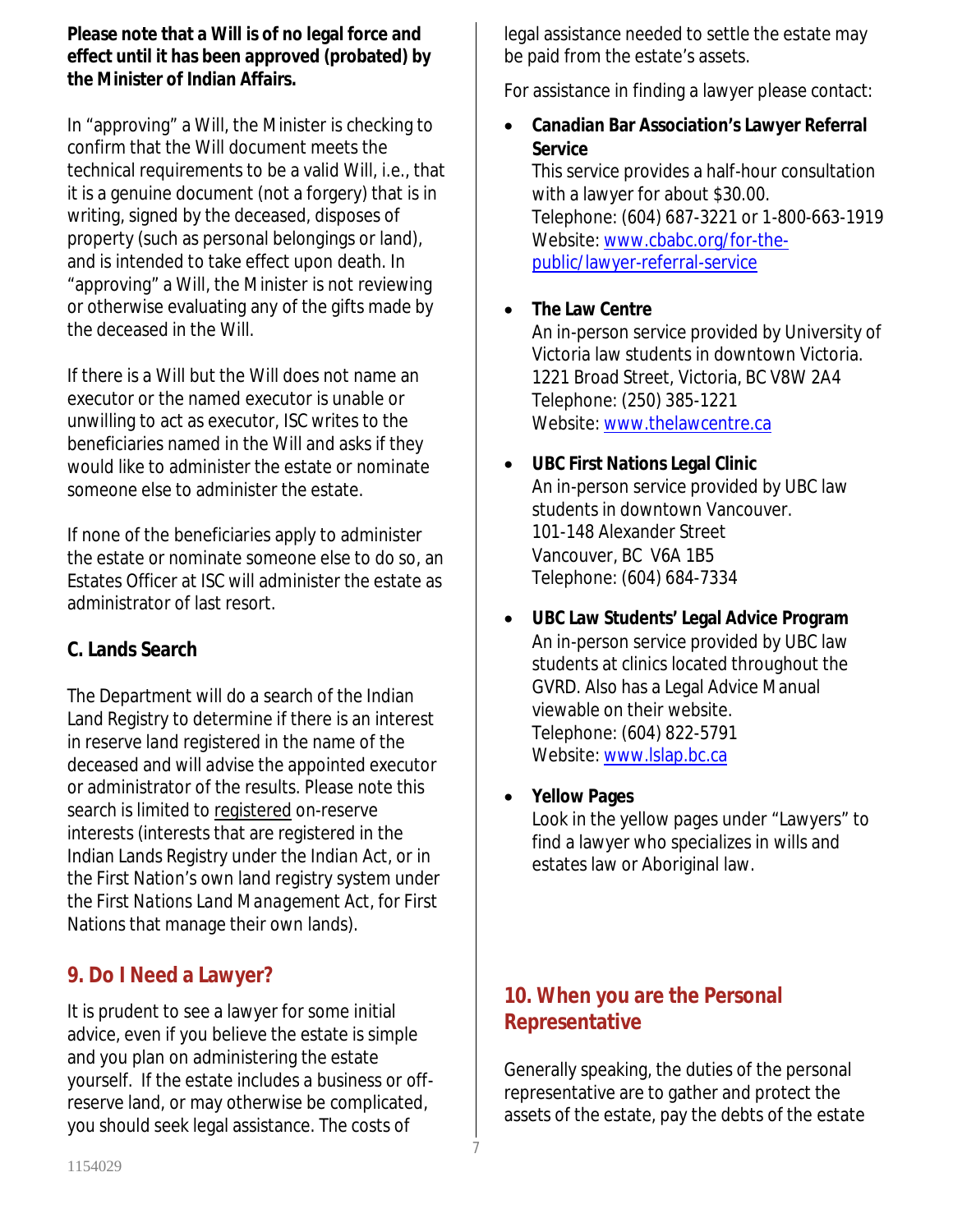**Please note that a Will is of no legal force and effect until it has been approved (probated) by the Minister of Indian Affairs.** 

In "approving" a Will, the Minister is checking to confirm that the Will document meets the technical requirements to be a valid Will, i.e., that it is a genuine document (not a forgery) that is in writing, signed by the deceased, disposes of property (such as personal belongings or land), and is intended to take effect upon death. In "approving" a Will, the Minister is not reviewing or otherwise evaluating any of the gifts made by the deceased in the Will.

If there is a Will but the Will does not name an executor or the named executor is unable or unwilling to act as executor, ISC writes to the beneficiaries named in the Will and asks if they would like to administer the estate or nominate someone else to administer the estate.

If none of the beneficiaries apply to administer the estate or nominate someone else to do so, an Estates Officer at ISC will administer the estate as administrator of last resort.

#### **C. Lands Search**

The Department will do a search of the Indian Land Registry to determine if there is an interest in reserve land registered in the name of the deceased and will advise the appointed executor or administrator of the results. Please note this search is limited to registered on-reserve interests (interests that are registered in the Indian Lands Registry under the *Indian Act*, or in the First Nation's own land registry system under the *First Nations Land Management Act*, for First Nations that manage their own lands).

#### **9. Do I Need a Lawyer?**

It is prudent to see a lawyer for some initial advice, even if you believe the estate is simple and you plan on administering the estate yourself. If the estate includes a business or offreserve land, or may otherwise be complicated, you should seek legal assistance. The costs of

legal assistance needed to settle the estate may be paid from the estate's assets.

For assistance in finding a lawyer please contact:

#### **Canadian Bar Association's Lawyer Referral Service**

This service provides a half-hour consultation with a lawyer for about \$30.00. Telephone: (604) 687-3221 or 1-800-663-1919 Website: [www.cbabc.org/for-the](http://www.cbabc.org/for-the-)public/lawyer-referral-service

#### **The Law Centre**

An in-person service provided by University of Victoria law students in downtown Victoria. 1221 Broad Street, Victoria, BC V8W 2A4 Telephone: (250) 385-1221 Website: [www.thelawcentre.ca](http://www.thelawcentre.ca)

#### **UBC First Nations Legal Clinic**

An in-person service provided by UBC law students in downtown Vancouver. 101-148 Alexander Street Vancouver, BC V6A 1B5 Telephone: (604) 684-7334

- **UBC Law Students' Legal Advice Program** An in-person service provided by UBC law students at clinics located throughout the GVRD. Also has a Legal Advice Manual viewable on their website. Telephone: (604) 822-5791 Website: [www.lslap.bc.ca](http://www.lslap.bc.ca)
- **Yellow Pages**

7

Look in the yellow pages under "Lawyers" to find a lawyer who specializes in wills and estates law or Aboriginal law.

#### **10. When you are the Personal Representative**

Generally speaking, the duties of the personal representative are to gather and protect the assets of the estate, pay the debts of the estate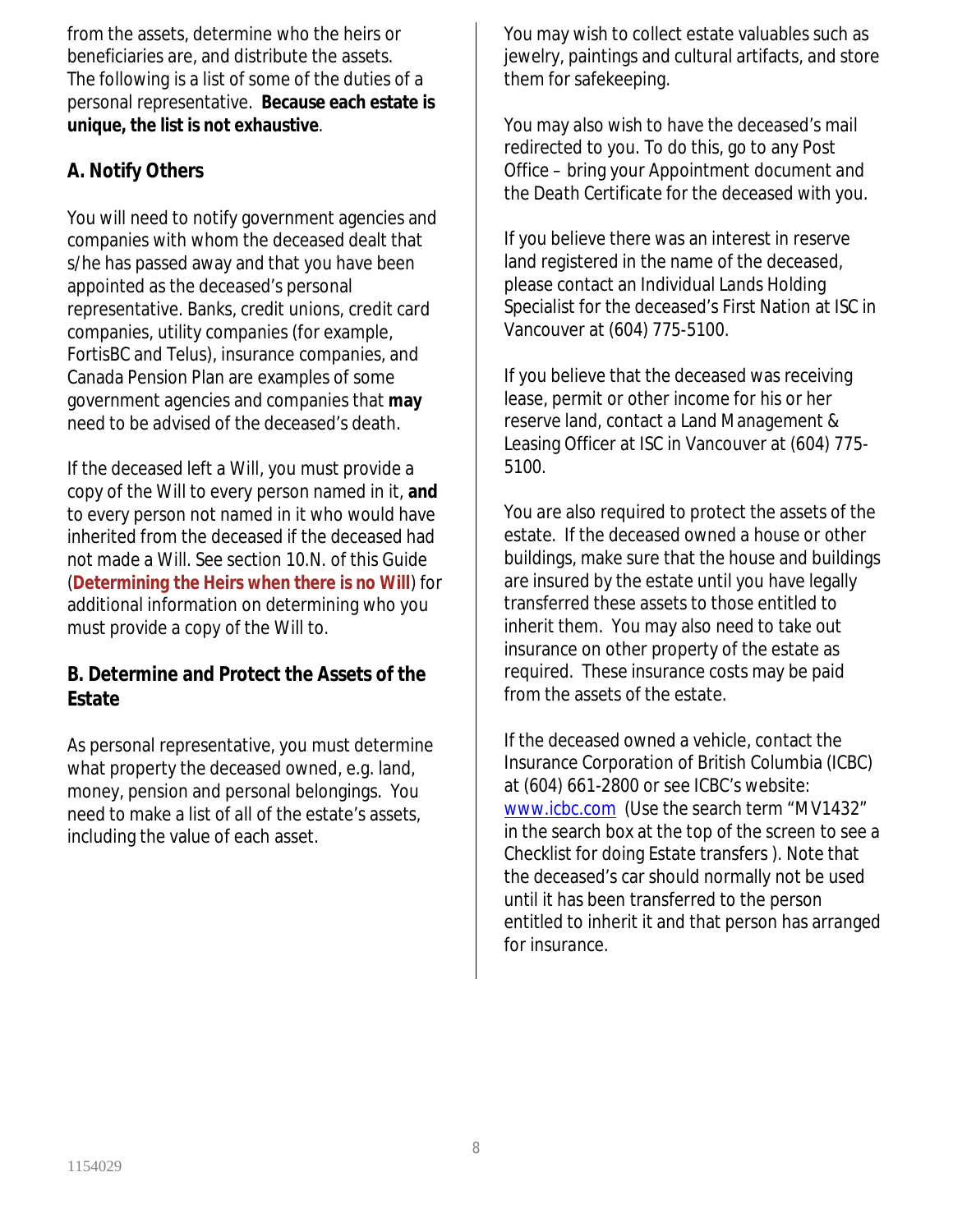from the assets, determine who the heirs or beneficiaries are, and distribute the assets. The following is a list of some of the duties of a personal representative. **Because each estate is unique, the list is not exhaustive**.

#### **A. Notify Others**

You will need to notify government agencies and companies with whom the deceased dealt that s/he has passed away and that you have been appointed as the deceased's personal representative. Banks, credit unions, credit card companies, utility companies (for example, FortisBC and Telus), insurance companies, and Canada Pension Plan are examples of some government agencies and companies that **may** need to be advised of the deceased's death.

If the deceased left a Will, you must provide a copy of the Will to every person named in it, **and** to every person not named in it who would have inherited from the deceased if the deceased had not made a Will. See section 10.N. of this Guide (*Determining the Heirs when there is no Will*) for additional information on determining who you must provide a copy of the Will to.

#### **B. Determine and Protect the Assets of the Estate**

As personal representative, you must determine what property the deceased owned, e.g. land, money, pension and personal belongings. You need to make a list of all of the estate's assets, including the value of each asset.

You may wish to collect estate valuables such as jewelry, paintings and cultural artifacts, and store them for safekeeping.

You may also wish to have the deceased's mail redirected to you. To do this, go to any Post Office – bring your Appointment document and the *Death Certificate* for the deceased with you.

If you believe there was an interest in reserve land registered in the name of the deceased, please contact an Individual Lands Holding Specialist for the deceased's First Nation at ISC in Vancouver at (604) 775-5100.

If you believe that the deceased was receiving lease, permit or other income for his or her reserve land, contact a Land Management & Leasing Officer at ISC in Vancouver at (604) 775- 5100.

You are also required to protect the assets of the estate. If the deceased owned a house or other buildings, make sure that the house and buildings are insured by the estate until you have legally transferred these assets to those entitled to inherit them. You may also need to take out insurance on other property of the estate as required. These insurance costs may be paid from the assets of the estate.

If the deceased owned a vehicle, contact the Insurance Corporation of British Columbia (ICBC) at (604) 661-2800 or see ICBC's website: [www.icbc.com](http://www.icbc.com) (Use the search term "MV1432" in the search box at the top of the screen to see a Checklist for doing Estate transfers ). Note that the deceased's car should normally not be used until it has been transferred to the person entitled to inherit it and that person has arranged for insurance.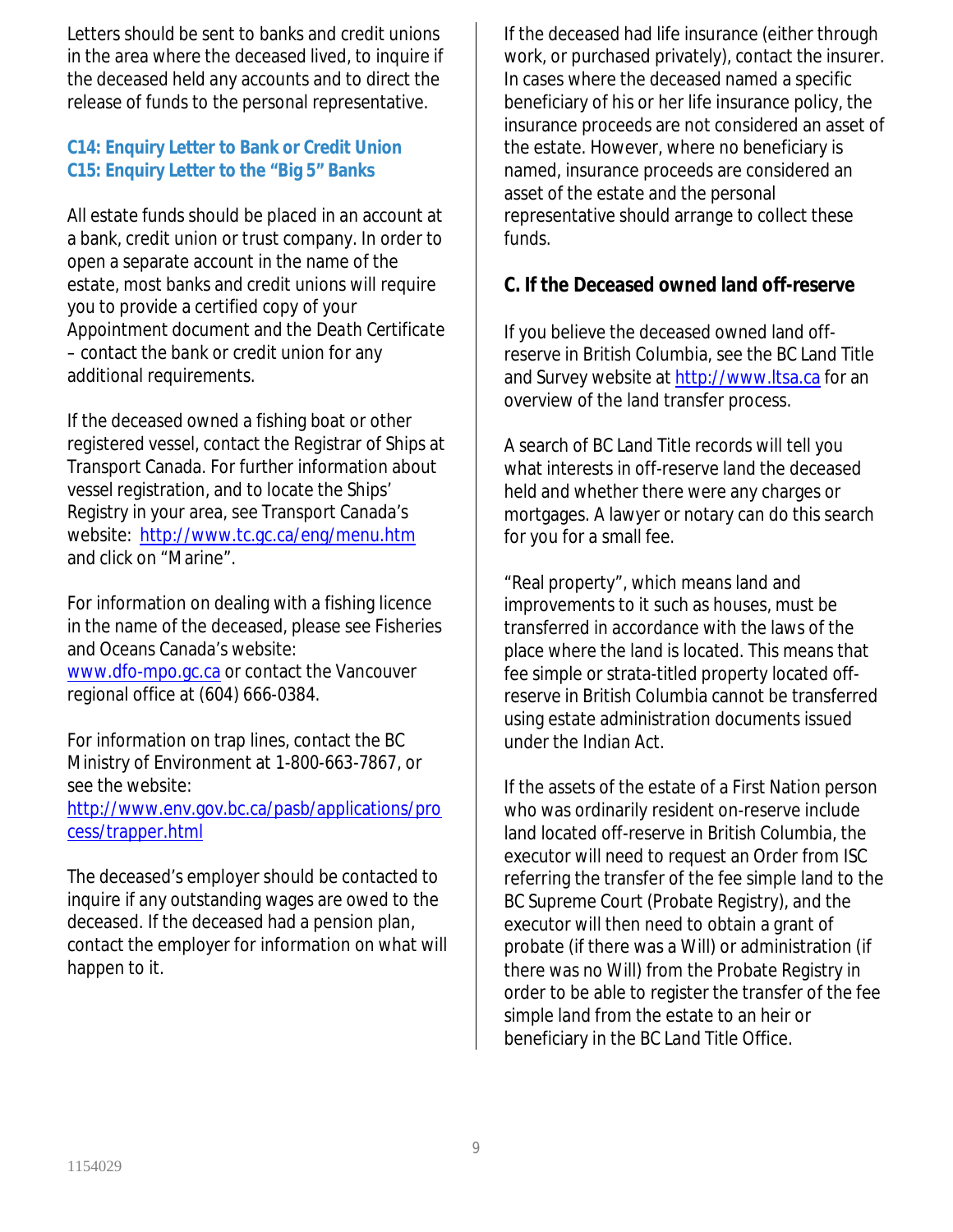Letters should be sent to banks and credit unions in the area where the deceased lived, to inquire if the deceased held any accounts and to direct the release of funds to the personal representative.

#### **C14: Enquiry Letter to Bank or Credit Union C15: Enquiry Letter to the "Big 5" Banks**

All estate funds should be placed in an account at a bank, credit union or trust company. In order to open a separate account in the name of the estate, most banks and credit unions will require you to provide a certified copy of your Appointment document and the *Death Certificate* – contact the bank or credit union for any additional requirements.

If the deceased owned a fishing boat or other registered vessel, contact the Registrar of Ships at Transport Canada. For further information about vessel registration, and to locate the Ships' Registry in your area, see Transport Canada's website: <http://www.tc.gc.ca/eng/menu.htm> and click on "Marine".

For information on dealing with a fishing licence in the name of the deceased, please see Fisheries and Oceans Canada's website: [www.dfo-mpo.gc.ca](http://www.dfo-mpo.gc.ca) or contact the Vancouver regional office at (604) 666-0384.

For information on trap lines, contact the BC Ministry of Environment at 1-800-663-7867, or see the website:

<http://www.env.gov.bc.ca/pasb/applications/pro> cess/trapper.html

The deceased's employer should be contacted to inquire if any outstanding wages are owed to the deceased. If the deceased had a pension plan, contact the employer for information on what will happen to it.

If the deceased had life insurance (either through work, or purchased privately), contact the insurer. In cases where the deceased named a specific beneficiary of his or her life insurance policy, the insurance proceeds are not considered an asset of the estate. However, where no beneficiary is named, insurance proceeds are considered an asset of the estate and the personal representative should arrange to collect these funds.

#### **C. If the Deceased owned land off-reserve**

If you believe the deceased owned land offreserve in British Columbia, see the BC Land Title and Survey website at <http://www.ltsa.ca> for an overview of the land transfer process.

A search of BC Land Title records will tell you what interests in off-reserve land the deceased held and whether there were any charges or mortgages. A lawyer or notary can do this search for you for a small fee.

"Real property", which means land and improvements to it such as houses, must be transferred in accordance with the laws of the place where the land is located. This means that fee simple or strata-titled property located offreserve in British Columbia cannot be transferred using estate administration documents issued under the *Indian Act*.

If the assets of the estate of a First Nation person who was ordinarily resident on-reserve include land located off-reserve in British Columbia, the executor will need to request an Order from ISC referring the transfer of the fee simple land to the BC Supreme Court (Probate Registry), and the executor will then need to obtain a grant of probate (if there was a Will) or administration (if there was no Will) from the Probate Registry in order to be able to register the transfer of the fee simple land from the estate to an heir or beneficiary in the BC Land Title Office.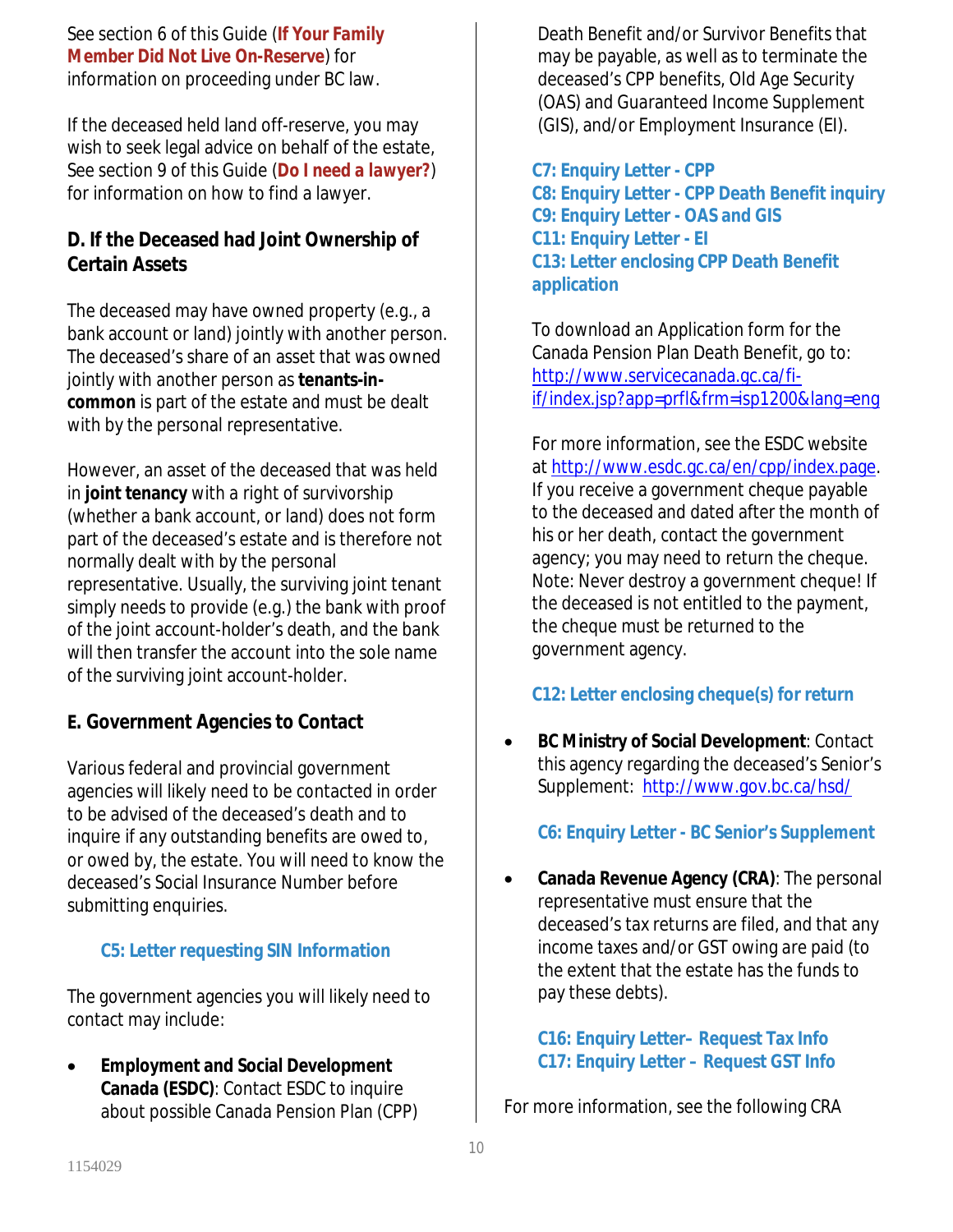See section 6 of this Guide (*If Your Family Member Did Not Live On-Reserve*) for information on proceeding under BC law.

If the deceased held land off-reserve, you may wish to seek legal advice on behalf of the estate, See section 9 of this Guide (*Do I need a lawyer?*) for information on how to find a lawyer.

#### **D. If the Deceased had Joint Ownership of Certain Assets**

The deceased may have owned property (e.g., a bank account or land) jointly with another person. The deceased's share of an asset that was owned jointly with another person as **tenants-incommon** is part of the estate and must be dealt with by the personal representative.

However, an asset of the deceased that was held in **joint tenancy** *with a right of survivorship* (whether a bank account, or land) does not form part of the deceased's estate and is therefore not normally dealt with by the personal representative. Usually, the surviving joint tenant simply needs to provide (e.g.) the bank with proof of the joint account-holder's death, and the bank will then transfer the account into the sole name of the surviving joint account-holder.

#### **E. Government Agencies to Contact**

Various federal and provincial government agencies will likely need to be contacted in order to be advised of the deceased's death and to inquire if any outstanding benefits are owed to, or owed by, the estate. You will need to know the deceased's Social Insurance Number before submitting enquiries.

#### **C5: Letter requesting SIN Information**

The government agencies you will likely need to contact may include:

 **Employment and Social Development Canada (ESDC)**: Contact ESDC to inquire about possible Canada Pension Plan (CPP)

Death Benefit and/or Survivor Benefits that may be payable, as well as to terminate the deceased's CPP benefits, Old Age Security (OAS) and Guaranteed Income Supplement (GIS), and/or Employment Insurance (EI).

**C7: Enquiry Letter - CPP C8: Enquiry Letter - CPP Death Benefit inquiry C9: Enquiry Letter - OAS and GIS C11: Enquiry Letter - EI C13: Letter enclosing CPP Death Benefit application**

To download an Application form for the Canada Pension Plan Death Benefit, go to: [http://www.servicecanada.gc.ca/fi](http://www.servicecanada.gc.ca/fi-)if/index.jsp?app=prfl&frm=isp1200&lang=eng

For more information, see the ESDC website at<http://www.esdc.gc.ca/en/cpp/index.page.> If you receive a government cheque payable to the deceased and dated after the month of his or her death, contact the government agency; you may need to return the cheque. Note: Never destroy a government cheque! If the deceased is not entitled to the payment, the cheque must be returned to the government agency.

#### **C12: Letter enclosing cheque(s) for return**

 **BC Ministry of Social Development**: Contact this agency regarding the deceased's Senior's Supplement: <http://www.gov.bc.ca/hsd/>

#### **C6: Enquiry Letter - BC Senior's Supplement**

 **Canada Revenue Agency (CRA)**: The personal representative must ensure that the deceased's tax returns are filed, and that any income taxes and/or GST owing are paid (to the extent that the estate has the funds to pay these debts).

**C16: Enquiry Letter– Request Tax Info C17: Enquiry Letter – Request GST Info**

For more information, see the following CRA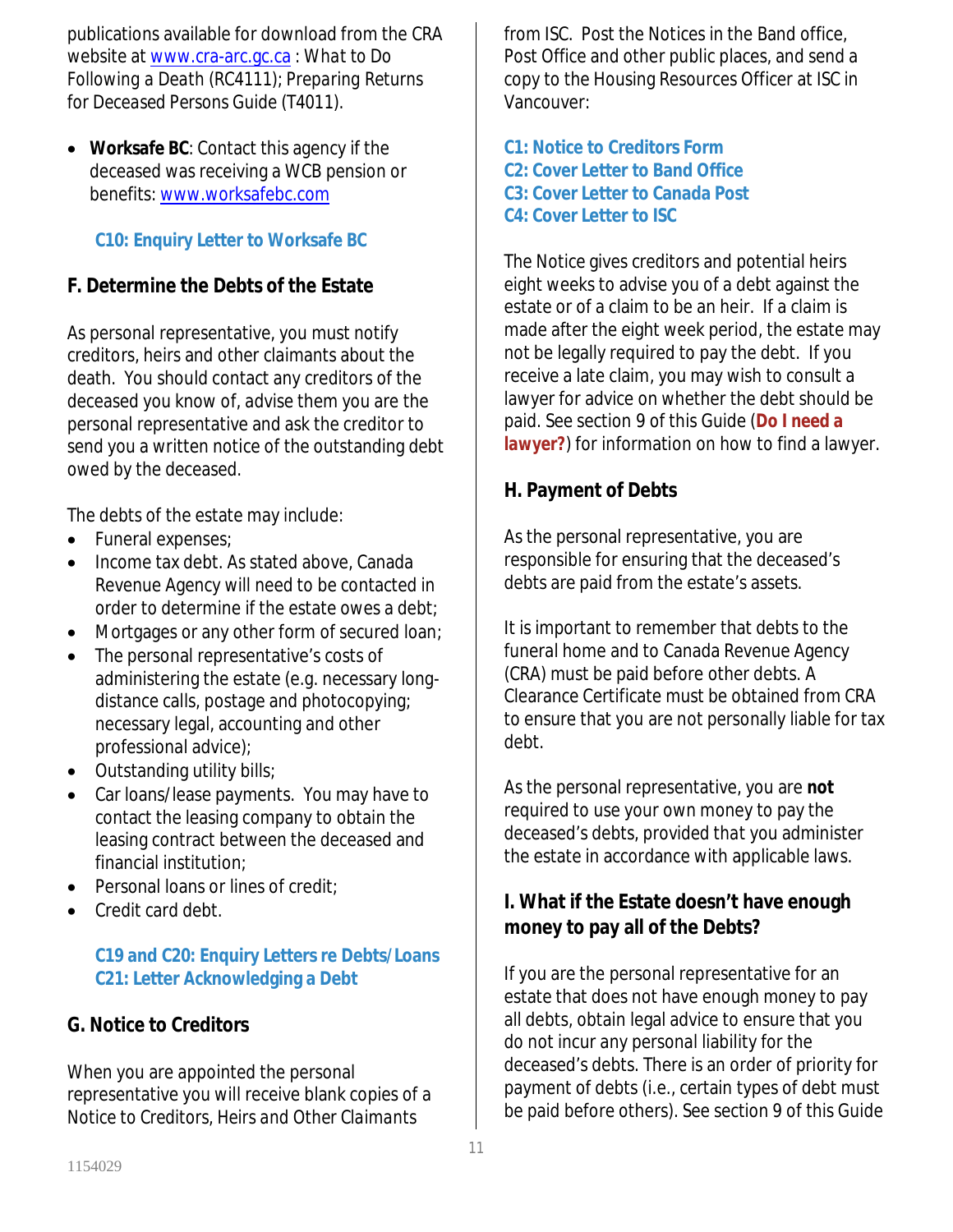publications available for download from the CRA website at [www.cra-arc.gc.ca](http://www.cra-arc.gc.ca) : *What to Do Following a Death* (RC4111); *Preparing Returns for Deceased Persons Guide* (T4011).

 **Worksafe BC**: Contact this agency if the deceased was receiving a WCB pension or benefits: [www.worksafebc.com](http://www.worksafebc.com)

#### **C10: Enquiry Letter to Worksafe BC**

#### **F. Determine the Debts of the Estate**

As personal representative, you must notify creditors, heirs and other claimants about the death. You should contact any creditors of the deceased you know of, advise them you are the personal representative and ask the creditor to send you a written notice of the outstanding debt owed by the deceased.

The debts of the estate may include:

- Funeral expenses;
- Income tax debt. As stated above, Canada Revenue Agency will need to be contacted in order to determine if the estate owes a debt;
- Mortgages or any other form of secured loan;
- The personal representative's costs of administering the estate (e.g. necessary longdistance calls, postage and photocopying; necessary legal, accounting and other professional advice);
- Outstanding utility bills;
- Car loans/lease payments. You may have to contact the leasing company to obtain the leasing contract between the deceased and financial institution;
- Personal loans or lines of credit;
- Credit card debt.

**C19 and C20: Enquiry Letters re Debts/Loans C21: Letter Acknowledging a Debt**

#### **G. Notice to Creditors**

When you are appointed the personal representative you will receive blank copies of a *Notice to Creditors, Heirs and Other Claimants*

from ISC. Post the Notices in the Band office, Post Office and other public places, and send a copy to the Housing Resources Officer at ISC in Vancouver:

**C1: Notice to Creditors Form C2: Cover Letter to Band Office C3: Cover Letter to Canada Post C4: Cover Letter to ISC**

The *Notice* gives creditors and potential heirs eight weeks to advise you of a debt against the estate or of a claim to be an heir. If a claim is made after the eight week period, the estate may not be legally required to pay the debt. If you receive a late claim, you may wish to consult a lawyer for advice on whether the debt should be paid. See section 9 of this Guide (*Do I need a lawyer?*) for information on how to find a lawyer.

#### **H. Payment of Debts**

As the personal representative, you are responsible for ensuring that the deceased's debts are paid from the estate's assets.

It is important to remember that debts to the funeral home and to Canada Revenue Agency (CRA) must be paid before other debts. A Clearance Certificate must be obtained from CRA to ensure that you are not personally liable for tax debt.

As the personal representative, you are **not** required to use your own money to pay the deceased's debts, *provided that* you administer the estate in accordance with applicable laws.

#### **I. What if the Estate doesn't have enough money to pay all of the Debts?**

If you are the personal representative for an estate that does not have enough money to pay all debts, obtain legal advice to ensure that you do not incur any personal liability for the deceased's debts. There is an order of priority for payment of debts (i.e., certain types of debt must be paid before others). See section 9 of this Guide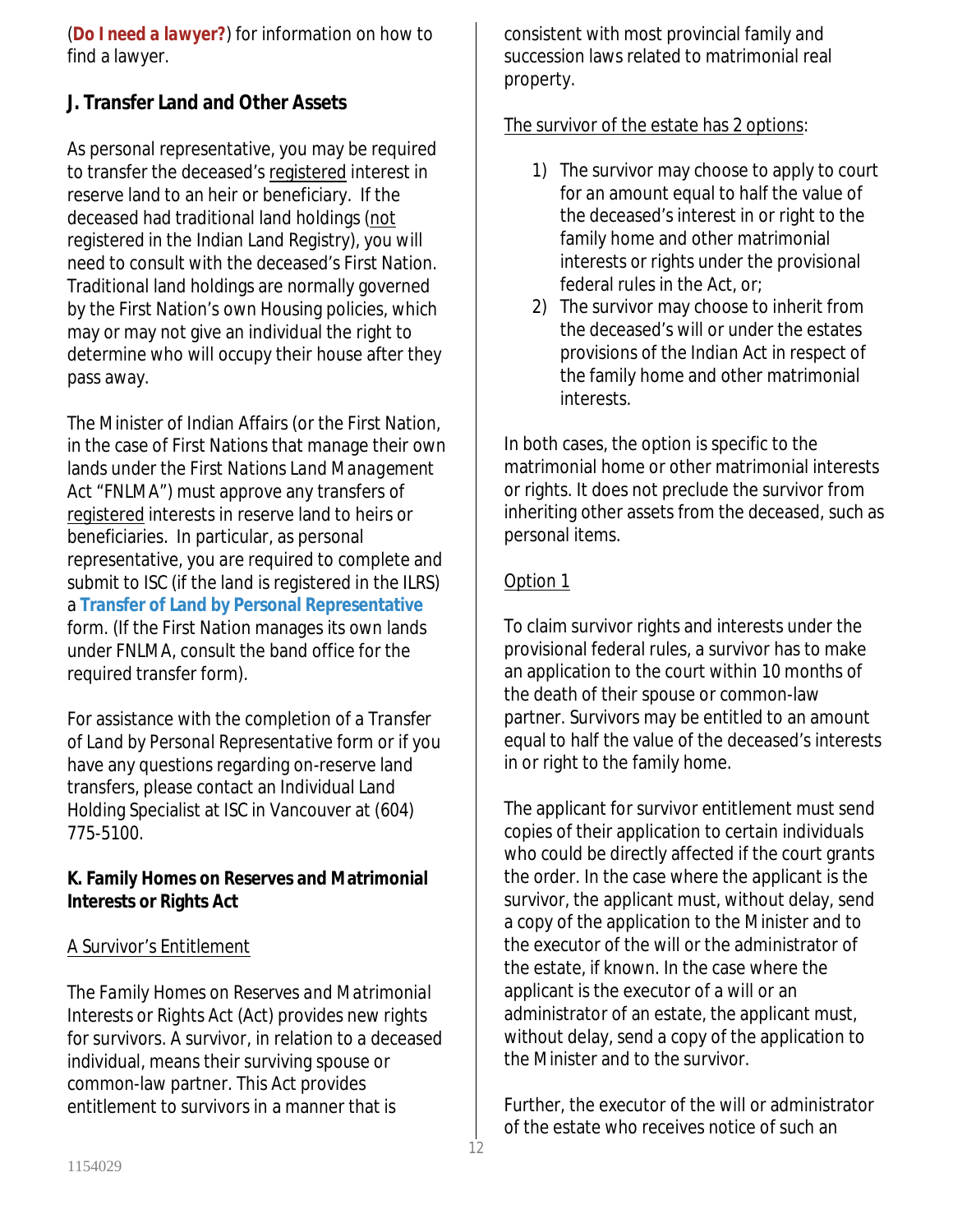(*Do I need a lawyer?*) for information on how to find a lawyer.

#### **J. Transfer Land and Other Assets**

As personal representative, you may be required to transfer the deceased's registered interest in reserve land to an heir or beneficiary. If the deceased had traditional land holdings (not registered in the Indian Land Registry), you will need to consult with the deceased's First Nation. Traditional land holdings are normally governed by the First Nation's own Housing policies, which may or may not give an individual the right to determine who will occupy their house after they pass away.

The Minister of Indian Affairs (or the First Nation, in the case of First Nations that manage their own lands under the *First Nations Land Management Act* "FNLMA") must approve any transfers of registered interests in reserve land to heirs or beneficiaries. In particular, as personal representative, you are required to complete and submit to ISC (if the land is registered in the ILRS) a **Transfer of Land by Personal Representative**  form. (If the First Nation manages its own lands under FNLMA, consult the band office for the required transfer form).

For assistance with the completion of a *Transfer of Land by Personal Representative* form or if you have any questions regarding on-reserve land transfers, please contact an Individual Land Holding Specialist at ISC in Vancouver at (604) 775-5100.

#### **K. Family Homes on Reserves and Matrimonial Interests or Rights Act**

#### A Survivor's Entitlement

The *Family Homes on Reserves and Matrimonial Interests or Rights Act* (Act) provides new rights for survivors. A survivor, in relation to a deceased individual, means their surviving spouse or common-law partner. This Act provides entitlement to survivors in a manner that is

consistent with most provincial family and succession laws related to matrimonial real property.

#### The survivor of the estate has 2 options:

- 1) The survivor may choose to apply to court for an amount equal to half the value of the deceased's interest in or right to the family home and other matrimonial interests or rights under the provisional federal rules in the Act, or;
- 2) The survivor may choose to inherit from the deceased's will or under the estates provisions of the *Indian Act* in respect of the family home and other matrimonial interests.

In both cases, the option is specific to the matrimonial home or other matrimonial interests or rights. It does not preclude the survivor from inheriting other assets from the deceased, such as personal items.

#### Option 1

To claim survivor rights and interests under the provisional federal rules, a survivor has to make an application to the court within 10 months of the death of their spouse or common-law partner. Survivors may be entitled to an amount equal to half the value of the deceased's interests in or right to the family home.

The applicant for survivor entitlement must send copies of their application to certain individuals who could be directly affected if the court grants the order. In the case where the applicant is the survivor, the applicant must, without delay, send a copy of the application to the Minister and to the executor of the will or the administrator of the estate, if known. In the case where the applicant is the executor of a will or an administrator of an estate, the applicant must, without delay, send a copy of the application to the Minister and to the survivor.

Further, the executor of the will or administrator of the estate who receives notice of such an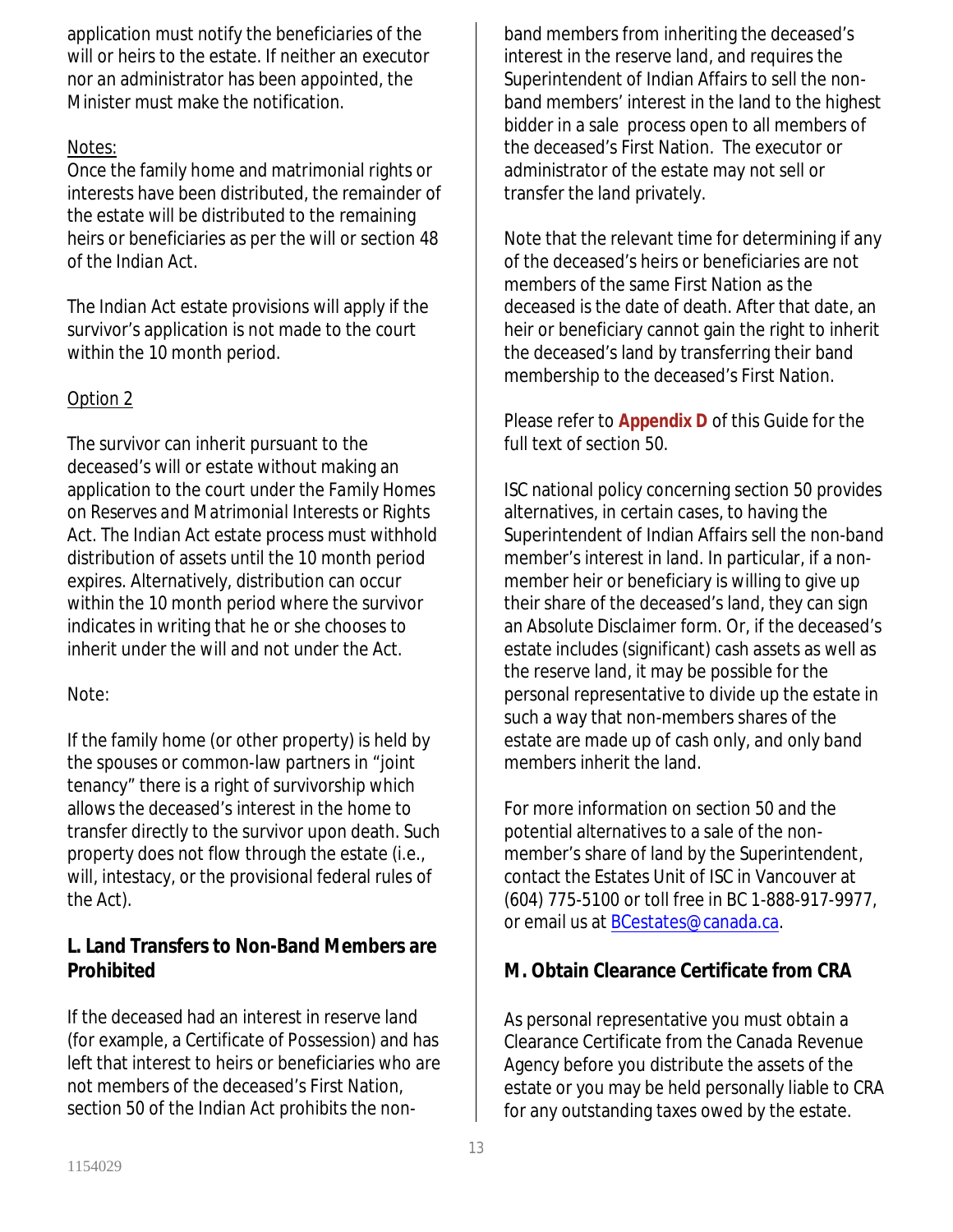application must notify the beneficiaries of the will or heirs to the estate. If neither an executor nor an administrator has been appointed, the Minister must make the notification.

#### Notes:

Once the family home and matrimonial rights or interests have been distributed, the remainder of the estate will be distributed to the remaining heirs or beneficiaries as per the will or section 48 of the *Indian Act*.

The *Indian Act* estate provisions will apply if the survivor's application is not made to the court within the 10 month period.

#### Option 2

The survivor can inherit pursuant to the deceased's will or estate without making an application to the court under the *Family Homes on Reserves and Matrimonial Interests or Rights Act.* The *Indian Act* estate process must withhold distribution of assets until the 10 month period expires. Alternatively, distribution can occur within the 10 month period where the survivor indicates in writing that he or she chooses to inherit under the will and not under the Act.

#### Note:

If the family home (or other property) is held by the spouses or common-law partners in "joint tenancy" there is a right of survivorship which allows the deceased's interest in the home to transfer directly to the survivor upon death. Such property does not flow through the estate (i.e., will, intestacy, or the provisional federal rules of the Act).

#### **L. Land Transfers to Non-Band Members are Prohibited**

If the deceased had an interest in reserve land (for example, a Certificate of Possession) and has left that interest to heirs or beneficiaries who are not members of the deceased's First Nation, section 50 of the *Indian Act* prohibits the nonband members from inheriting the deceased's interest in the reserve land, and requires the Superintendent of Indian Affairs to sell the nonband members' interest in the land to the highest bidder in a sale process open to all members of the deceased's First Nation. The executor or administrator of the estate may not sell or transfer the land privately.

Note that the relevant time for determining if any of the deceased's heirs or beneficiaries are not members of the same First Nation as the deceased is the date of death. After that date, an heir or beneficiary cannot gain the right to inherit the deceased's land by transferring their band membership to the deceased's First Nation.

Please refer to *Appendix D* of this Guide for the full text of section 50.

ISC national policy concerning section 50 provides alternatives, in certain cases, to having the Superintendent of Indian Affairs sell the non-band member's interest in land. In particular, if a nonmember heir or beneficiary is willing to give up their share of the deceased's land, they can sign an *Absolute Disclaimer* form. Or, if the deceased's estate includes (significant) cash assets as well as the reserve land, it may be possible for the personal representative to divide up the estate in such a way that non-members shares of the estate are made up of cash only, and only band members inherit the land.

For more information on section 50 and the potential alternatives to a sale of the nonmember's share of land by the Superintendent, contact the Estates Unit of ISC in Vancouver at (604) 775-5100 or toll free in BC 1-888-917-9977, or email us at [BCestates@canada.ca.](mailto:BCestates@canada.ca.)

#### **M. Obtain Clearance Certificate from CRA**

As personal representative you must obtain a Clearance Certificate from the Canada Revenue Agency before you distribute the assets of the estate or you may be held personally liable to CRA for any outstanding taxes owed by the estate.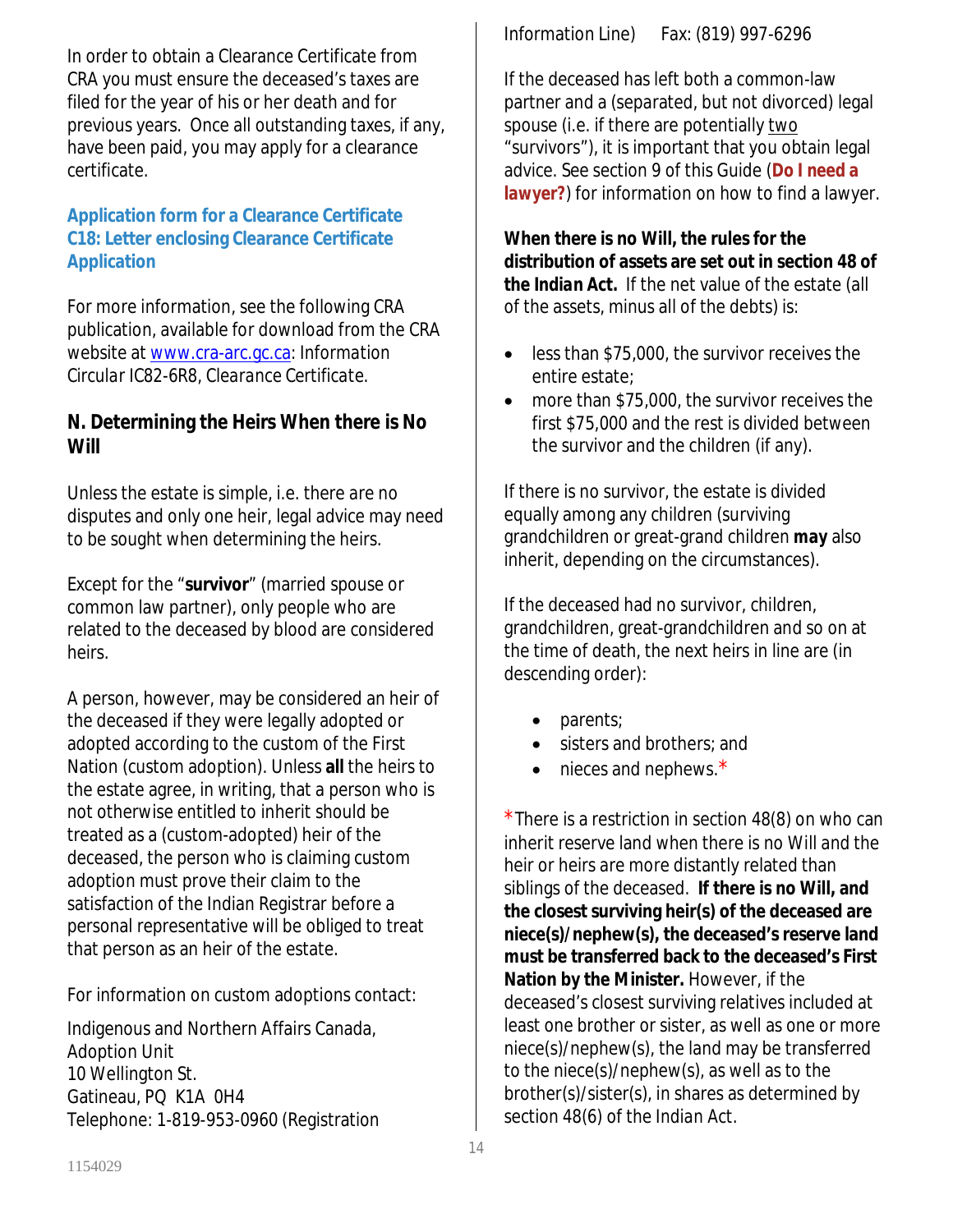In order to obtain a Clearance Certificate from CRA you must ensure the deceased's taxes are filed for the year of his or her death and for previous years. Once all outstanding taxes, if any, have been paid, you may apply for a clearance certificate.

#### **Application form for a Clearance Certificate C18: Letter enclosing Clearance Certificate Application**

For more information, see the following CRA publication, available for download from the CRA website at [www.cra-arc.gc.ca:](http://www.cra-arc.gc.ca:) *Information Circular IC82-6R8, Clearance Certificate*.

#### **N. Determining the Heirs When there is No Will**

Unless the estate is simple, i.e. there are no disputes and only one heir, legal advice may need to be sought when determining the heirs.

Except for the "**survivor**" (married spouse or common law partner), only people who are related to the deceased by blood are considered heirs.

A person, however, may be considered an heir of the deceased if they were legally adopted or adopted according to the custom of the First Nation (custom adoption). Unless **all** the heirs to the estate agree, in writing, that a person who is not otherwise entitled to inherit should be treated as a (custom-adopted) heir of the deceased, the person who is claiming custom adoption must prove their claim to the satisfaction of the Indian Registrar before a personal representative will be obliged to treat that person as an heir of the estate.

For information on custom adoptions contact:

Indigenous and Northern Affairs Canada, Adoption Unit 10 Wellington St. Gatineau, PQ K1A 0H4 Telephone: 1-819-953-0960 (Registration Information Line) Fax: (819) 997-6296

If the deceased has left both a common-law partner and a (separated, but not divorced) legal spouse (i.e. if there are potentially two "survivors"), it is important that you obtain legal advice. See section 9 of this Guide (*Do I need a lawyer?*) for information on how to find a lawyer.

**When there is no Will, the rules for the distribution of assets are set out in section 48 of the** *Indian Act.* If the net value of the estate (all of the assets, minus all of the debts) is:

- less than \$75,000, the survivor receives the entire estate;
- more than \$75,000, the survivor receives the first \$75,000 and the rest is divided between the survivor and the children (if any).

If there is no survivor, the estate is divided equally among any children (surviving grandchildren or great-grand children *may* also inherit, depending on the circumstances).

If the deceased had no survivor, children, grandchildren, great-grandchildren and so on at the time of death, the next heirs in line are (in descending order):

- parents;
- sisters and brothers; and
- nieces and nephews. \*

\*There is a restriction in section 48(8) on who can inherit reserve land when there is no Will and the heir or heirs are more distantly related than siblings of the deceased. **If there is no Will, and the closest surviving heir(s) of the deceased are niece(s)/nephew(s), the deceased's reserve land must be transferred back to the deceased's First Nation by the Minister.** However, if the deceased's closest surviving relatives included at least one brother or sister, as well as one or more niece(s)/nephew(s), the land may be transferred to the niece(s)/nephew(s), as well as to the brother(s)/sister(s), in shares as determined by section 48(6) of the *Indian Act*.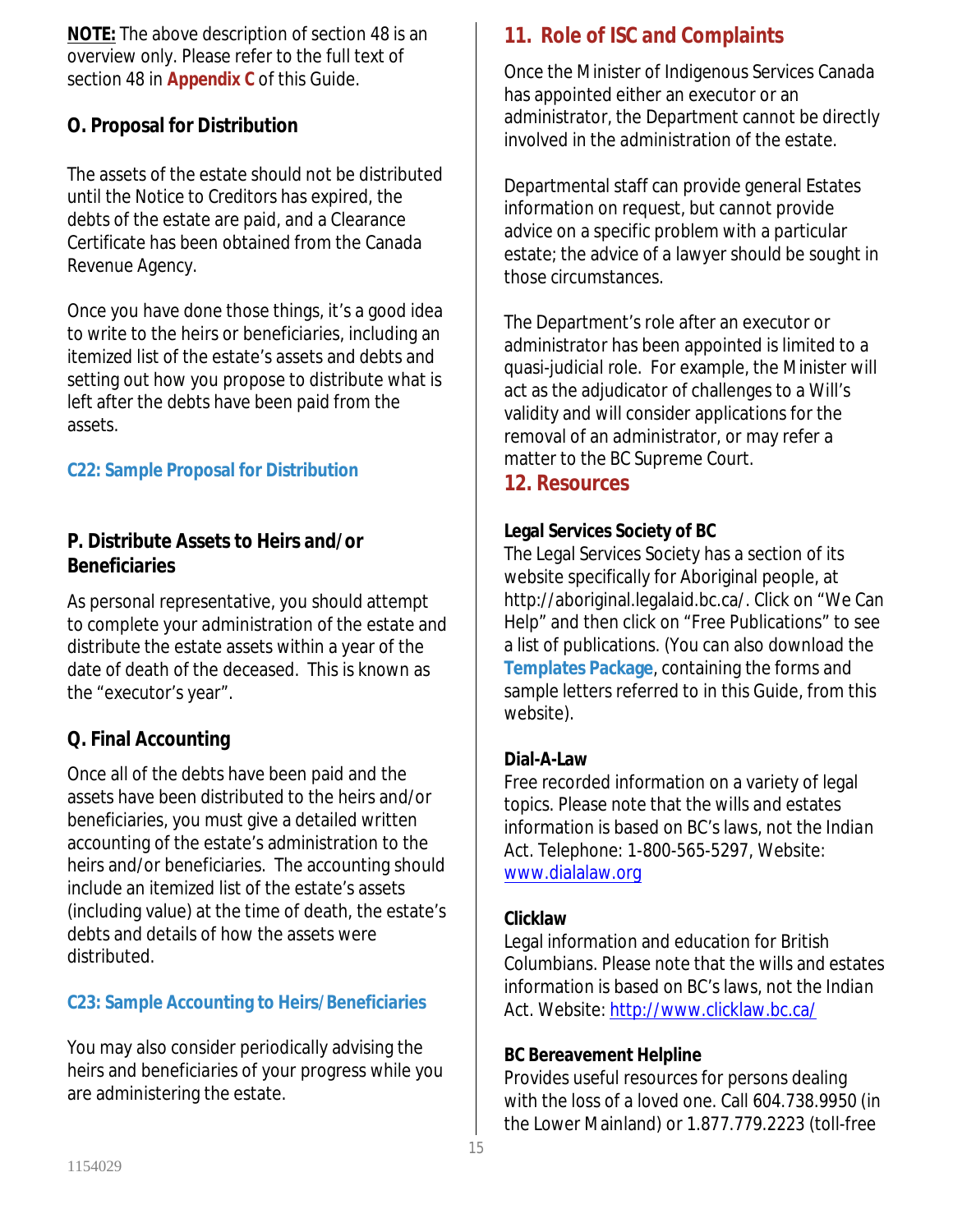**NOTE:** The above description of section 48 is an overview only. Please refer to the full text of section 48 in *Appendix C* of this Guide.

#### **O. Proposal for Distribution**

The assets of the estate should not be distributed until the *Notice to Creditors* has expired, the debts of the estate are paid, and a Clearance Certificate has been obtained from the Canada Revenue Agency.

Once you have done those things, it's a good idea to write to the heirs or beneficiaries, including an itemized list of the estate's assets and debts and setting out how you propose to distribute what is left after the debts have been paid from the assets.

#### **C22: Sample Proposal for Distribution**

#### **P. Distribute Assets to Heirs and/or Beneficiaries**

As personal representative, you should attempt to complete your administration of the estate and distribute the estate assets within a year of the date of death of the deceased. This is known as the "executor's year".

#### **Q. Final Accounting**

Once all of the debts have been paid and the assets have been distributed to the heirs and/or beneficiaries, you must give a detailed written accounting of the estate's administration to the heirs and/or beneficiaries. The accounting should include an itemized list of the estate's assets (including value) at the time of death, the estate's debts and details of how the assets were distributed.

#### **C23: Sample Accounting to Heirs/Beneficiaries**

You may also consider periodically advising the heirs and beneficiaries of your progress while you are administering the estate.

#### **11. Role of ISC and Complaints**

Once the Minister of Indigenous Services Canada has appointed either an executor or an administrator, the Department cannot be directly involved in the administration of the estate.

Departmental staff can provide general Estates information on request, but cannot provide advice on a specific problem with a particular estate; the advice of a lawyer should be sought in those circumstances.

The Department's role after an executor or administrator has been appointed is limited to a quasi-judicial role. For example, the Minister will act as the adjudicator of challenges to a Will's validity and will consider applications for the removal of an administrator, or may refer a matter to the BC Supreme Court.

#### **12. Resources**

#### **Legal Services Society of BC**

The Legal Services Society has a section of its website specifically for Aboriginal people, at <http://aboriginal.legalaid.bc.ca/.> Click on "We Can Help" and then click on "Free Publications" to see a list of publications. (You can also download the **Templates Package**, containing the forms and sample letters referred to in this Guide, from this website).

#### **Dial-A-Law**

Free recorded information on a variety of legal topics. Please note that the wills and estates information is based on BC's laws, not the *Indian Act*. Telephone: 1-800-565-5297, Website: [www.dialalaw.org](http://www.dialalaw.org)

#### **Clicklaw**

Legal information and education for British Columbians. Please note that the wills and estates information is based on BC's laws, not the *Indian Act*. Website: <http://www.clicklaw.bc.ca/>

#### **BC Bereavement Helpline**

Provides useful resources for persons dealing with the loss of a loved one. Call 604.738.9950 (in the Lower Mainland) or 1.877.779.2223 (toll-free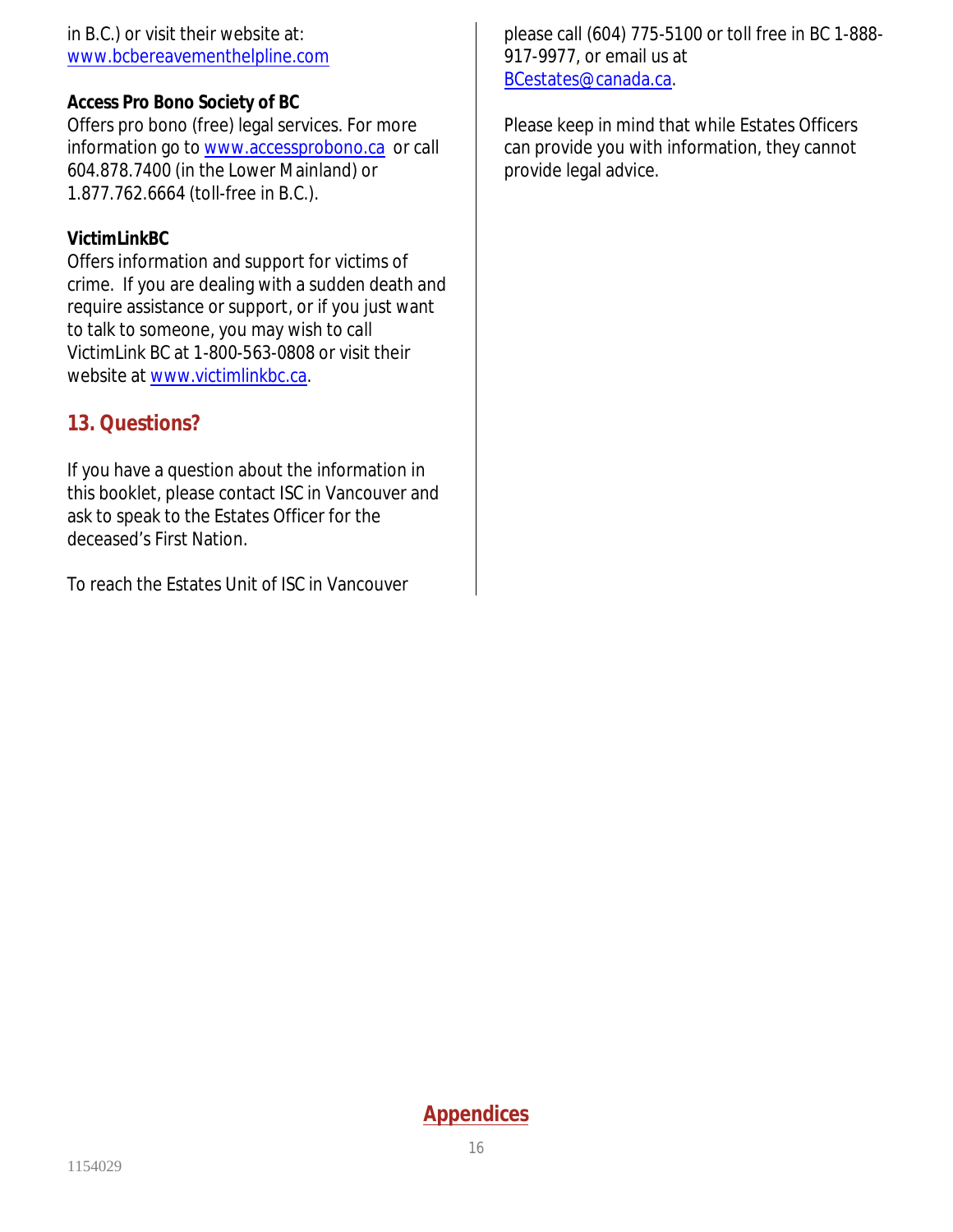in B.C.) or visit their website at: [www.bcbereavementhelpline.com](http://www.bcbereavementhelpline.com)

#### **Access Pro Bono Society of BC**

Offers pro bono (free) legal services. For more information go to [www.accessprobono.ca](http://www.accessprobono.ca) or call 604.878.7400 (in the Lower Mainland) or 1.877.762.6664 (toll-free in B.C.).

#### **VictimLinkBC**

Offers information and support for victims of crime. If you are dealing with a sudden death and require assistance or support, or if you just want to talk to someone, you may wish to call VictimLink BC at 1-800-563-0808 or visit their website at [www.victimlinkbc.ca.](http://www.victimlinkbc.ca.)

#### **13. Questions?**

If you have a question about the information in this booklet, please contact ISC in Vancouver and ask to speak to the Estates Officer for the deceased's First Nation.

To reach the Estates Unit of ISC in Vancouver

please call (604) 775-5100 or toll free in BC 1-888- 917-9977, or email us at [BCestates@canada.ca.](mailto:BCestates@canada.ca.) 

Please keep in mind that while Estates Officers can provide you with information, they cannot provide legal advice.

#### **Appendices**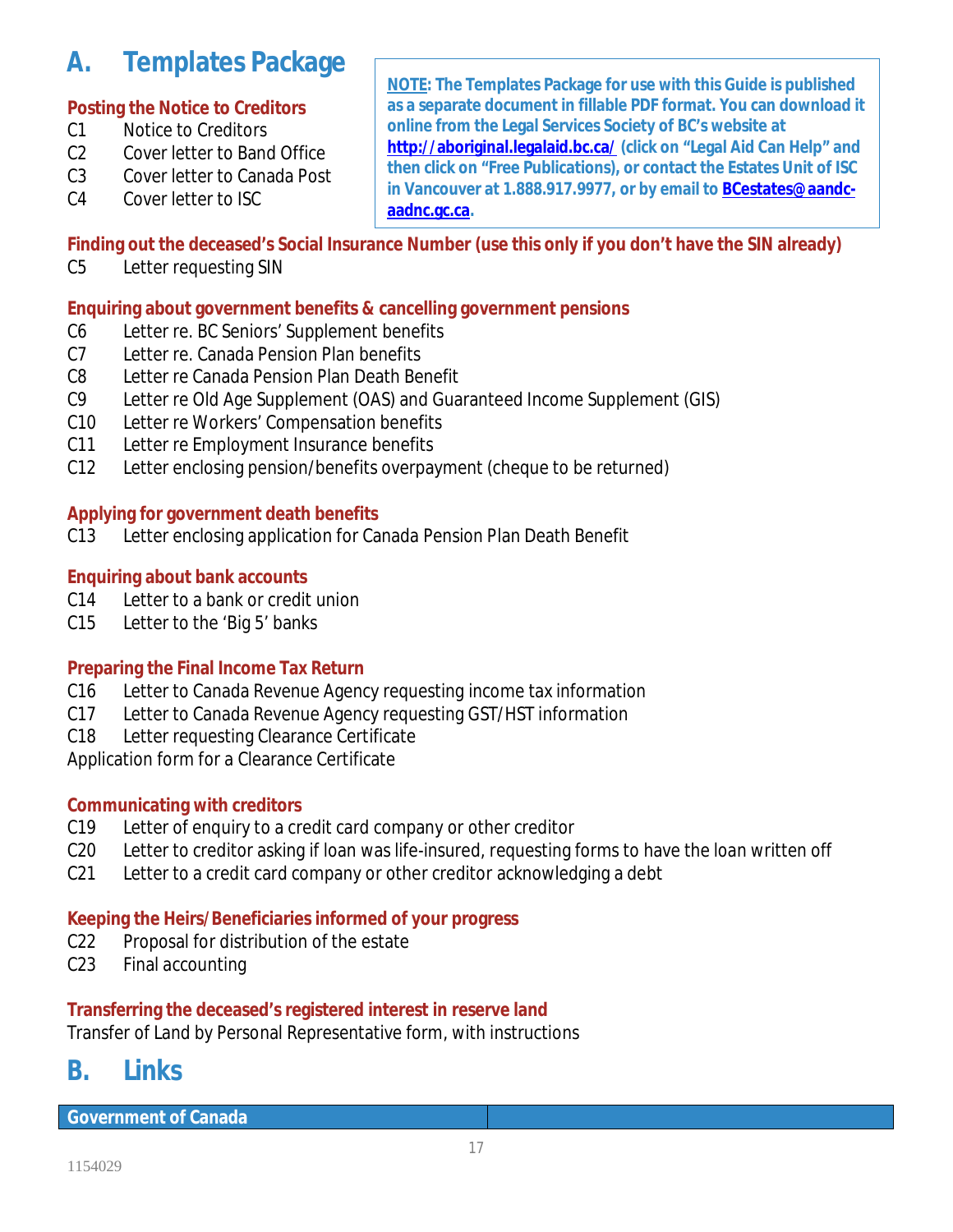## **A. Templates Package**

#### **Posting the Notice to Creditors**

- C1 Notice to Creditors
- C2 Cover letter to Band Office
- C3 Cover letter to Canada Post
- C4 Cover letter to ISC

**NOTE: The Templates Package for use with this Guide is published as a separate document in fillable PDF format. You can download it online from the Legal Services Society of BC's website at <http://aboriginal.legalaid.bc.ca/> (click on "Legal Aid Can Help" and then click on "Free Publications), or contact the Estates Unit of ISC in Vancouver at 1.888.917.9977, or by email to BCestates@aandcaadnc.gc.ca.**

**Finding out the deceased's Social Insurance Number (use this only if you don't have the SIN already)** C5 Letter requesting SIN

#### **Enquiring about government benefits & cancelling government pensions**

- C6 Letter re. BC Seniors' Supplement benefits
- C7 Letter re. Canada Pension Plan benefits
- C8 Letter re Canada Pension Plan Death Benefit
- C9 Letter re Old Age Supplement (OAS) and Guaranteed Income Supplement (GIS)
- C10 Letter re Workers' Compensation benefits
- C11 Letter re Employment Insurance benefits
- C12 Letter enclosing pension/benefits overpayment (cheque to be returned)

#### **Applying for government death benefits**

C13 Letter enclosing application for Canada Pension Plan Death Benefit

#### **Enquiring about bank accounts**

- C14 Letter to a bank or credit union
- C15 Letter to the 'Big 5' banks

#### **Preparing the Final Income Tax Return**

- C16 Letter to Canada Revenue Agency requesting income tax information
- C17 Letter to Canada Revenue Agency requesting GST/HST information
- C18 Letter requesting Clearance Certificate

Application form for a Clearance Certificate

#### **Communicating with creditors**

- C19 Letter of enquiry to a credit card company or other creditor
- C20 Letter to creditor asking if loan was life-insured, requesting forms to have the loan written off
- C21 Letter to a credit card company or other creditor acknowledging a debt

#### **Keeping the Heirs/Beneficiaries informed of your progress**

- C22 Proposal for distribution of the estate
- C23 Final accounting

#### **Transferring the deceased's registered interest in reserve land**

Transfer of Land by Personal Representative form, with instructions

### **B. Links**

#### **Government of Canada**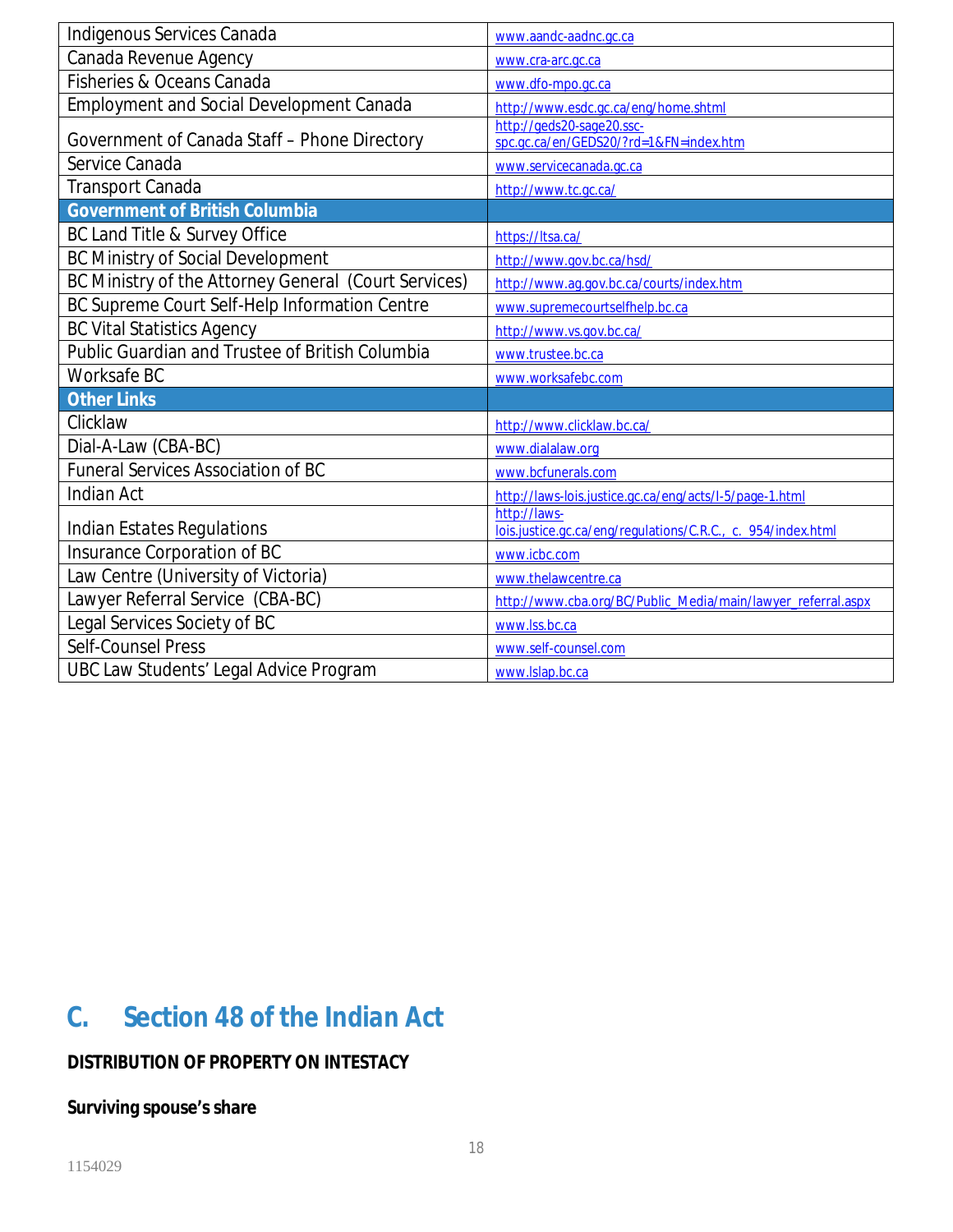| Indigenous Services Canada                           | www.aandc-aadnc.gc.ca                                                        |
|------------------------------------------------------|------------------------------------------------------------------------------|
| Canada Revenue Agency                                | www.cra-arc.gc.ca                                                            |
| <b>Fisheries &amp; Oceans Canada</b>                 | www.dfo-mpo.gc.ca                                                            |
| <b>Employment and Social Development Canada</b>      | http://www.esdc.gc.ca/eng/home.shtml                                         |
| Government of Canada Staff - Phone Directory         | http://geds20-sage20.ssc-<br>spc.gc.ca/en/GEDS20/?rd=1&FN=index.htm          |
| Service Canada                                       | www.servicecanada.gc.ca                                                      |
| <b>Transport Canada</b>                              | http://www.tc.gc.ca/                                                         |
| <b>Government of British Columbia</b>                |                                                                              |
| BC Land Title & Survey Office                        | https://ltsa.ca/                                                             |
| <b>BC Ministry of Social Development</b>             | http://www.gov.bc.ca/hsd/                                                    |
| BC Ministry of the Attorney General (Court Services) | http://www.ag.gov.bc.ca/courts/index.htm                                     |
| BC Supreme Court Self-Help Information Centre        | www.supremecourtselfhelp.bc.ca                                               |
| <b>BC Vital Statistics Agency</b>                    | http://www.vs.gov.bc.ca/                                                     |
| Public Guardian and Trustee of British Columbia      | www.trustee.bc.ca                                                            |
| Worksafe BC                                          | www.worksafebc.com                                                           |
| <b>Other Links</b>                                   |                                                                              |
| Clicklaw                                             | http://www.clicklaw.bc.ca/                                                   |
| Dial-A-Law (CBA-BC)                                  | www.dialalaw.org                                                             |
| <b>Funeral Services Association of BC</b>            | www.bcfunerals.com                                                           |
| Indian Act                                           | http://laws-lois.justice.gc.ca/eng/acts/l-5/page-1.html                      |
| Indian Estates Regulations                           | http://laws-<br>lois.justice.gc.ca/eng/regulations/C.R.C., c. 954/index.html |
| Insurance Corporation of BC                          | www.icbc.com                                                                 |
| Law Centre (University of Victoria)                  | www.thelawcentre.ca                                                          |
| Lawyer Referral Service (CBA-BC)                     | http://www.cba.org/BC/Public_Media/main/lawyer_referral.aspx                 |
| Legal Services Society of BC                         | www.lss.bc.ca                                                                |
| <b>Self-Counsel Press</b>                            | www.self-counsel.com                                                         |
| UBC Law Students' Legal Advice Program               | www.Islap.bc.ca                                                              |

## **C. Section 48 of the** *Indian Act*

#### **DISTRIBUTION OF PROPERTY ON INTESTACY**

#### **Surviving spouse's share**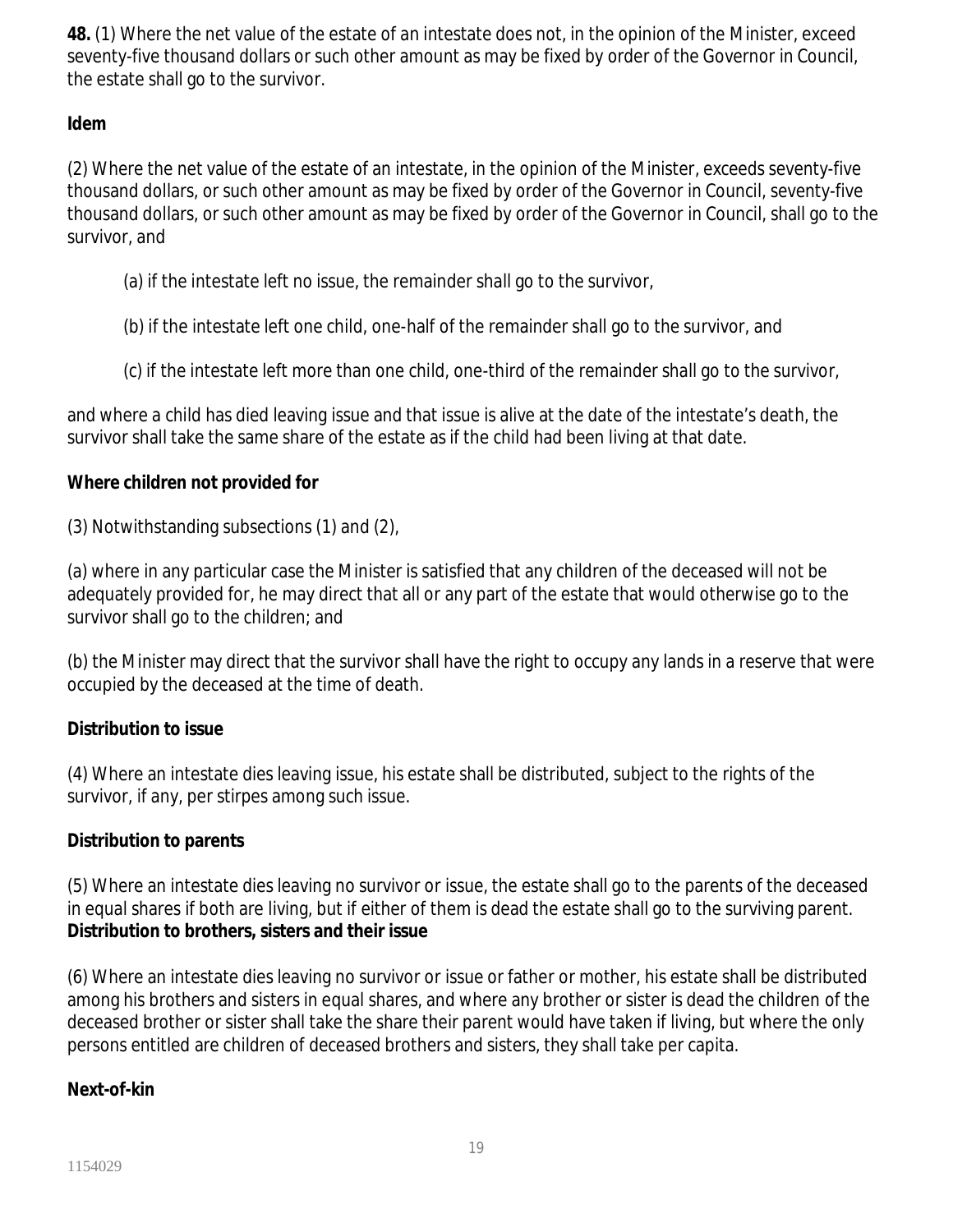**48.** (1) Where the net value of the estate of an intestate does not, in the opinion of the Minister, exceed seventy-five thousand dollars or such other amount as may be fixed by order of the Governor in Council, the estate shall go to the survivor.

#### **Idem**

(2) Where the net value of the estate of an intestate, in the opinion of the Minister, exceeds seventy-five thousand dollars, or such other amount as may be fixed by order of the Governor in Council, seventy-five thousand dollars, or such other amount as may be fixed by order of the Governor in Council, shall go to the survivor, and

- (a) if the intestate left no issue, the remainder shall go to the survivor,
- (b) if the intestate left one child, one-half of the remainder shall go to the survivor, and
- (c) if the intestate left more than one child, one-third of the remainder shall go to the survivor,

and where a child has died leaving issue and that issue is alive at the date of the intestate's death, the survivor shall take the same share of the estate as if the child had been living at that date.

#### **Where children not provided for**

(3) Notwithstanding subsections (1) and (2),

(a) where in any particular case the Minister is satisfied that any children of the deceased will not be adequately provided for, he may direct that all or any part of the estate that would otherwise go to the survivor shall go to the children; and

(b) the Minister may direct that the survivor shall have the right to occupy any lands in a reserve that were occupied by the deceased at the time of death.

#### **Distribution to issue**

(4) Where an intestate dies leaving issue, his estate shall be distributed, subject to the rights of the survivor, if any, per stirpes among such issue.

#### **Distribution to parents**

(5) Where an intestate dies leaving no survivor or issue, the estate shall go to the parents of the deceased in equal shares if both are living, but if either of them is dead the estate shall go to the surviving parent. **Distribution to brothers, sisters and their issue**

(6) Where an intestate dies leaving no survivor or issue or father or mother, his estate shall be distributed among his brothers and sisters in equal shares, and where any brother or sister is dead the children of the deceased brother or sister shall take the share their parent would have taken if living, but where the only persons entitled are children of deceased brothers and sisters, they shall take per capita.

#### **Next-of-kin**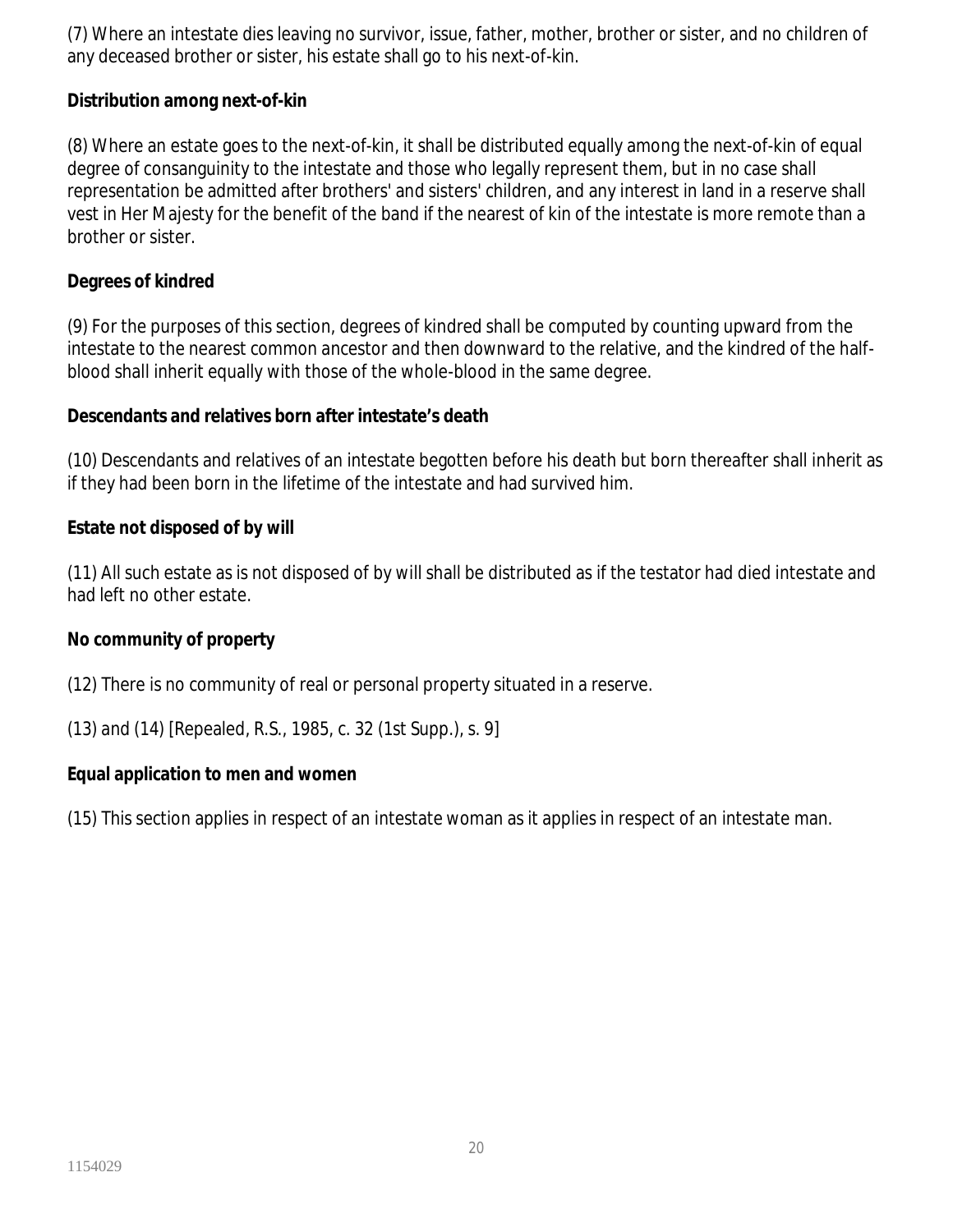(7) Where an intestate dies leaving no survivor, issue, father, mother, brother or sister, and no children of any deceased brother or sister, his estate shall go to his next-of-kin.

#### **Distribution among next-of-kin**

(8) Where an estate goes to the next-of-kin, it shall be distributed equally among the next-of-kin of equal degree of consanguinity to the intestate and those who legally represent them, but in no case shall representation be admitted after brothers' and sisters' children, and any interest in land in a reserve shall vest in Her Majesty for the benefit of the band if the nearest of kin of the intestate is more remote than a brother or sister.

#### **Degrees of kindred**

(9) For the purposes of this section, degrees of kindred shall be computed by counting upward from the intestate to the nearest common ancestor and then downward to the relative, and the kindred of the halfblood shall inherit equally with those of the whole-blood in the same degree.

#### **Descendants and relatives born after intestate's death**

(10) Descendants and relatives of an intestate begotten before his death but born thereafter shall inherit as if they had been born in the lifetime of the intestate and had survived him.

#### **Estate not disposed of by will**

(11) All such estate as is not disposed of by will shall be distributed as if the testator had died intestate and had left no other estate.

#### **No community of property**

(12) There is no community of real or personal property situated in a reserve.

(13) and (14) [Repealed, R.S., 1985, c. 32 (1st Supp.), s. 9]

#### **Equal application to men and women**

(15) This section applies in respect of an intestate woman as it applies in respect of an intestate man.